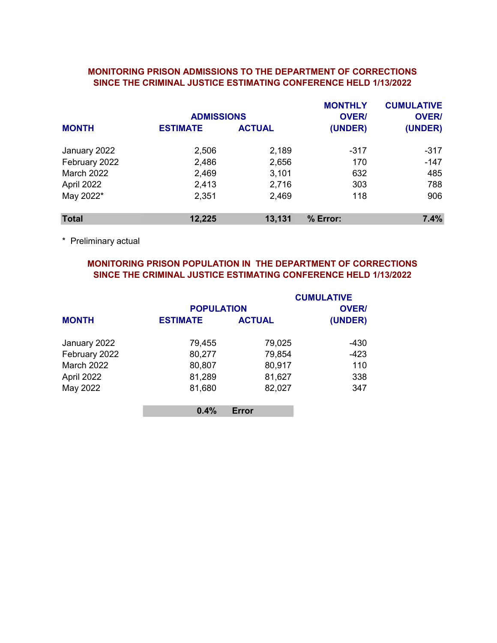### MONITORING PRISON ADMISSIONS TO THE DEPARTMENT OF CORRECTIONS SINCE THE CRIMINAL JUSTICE ESTIMATING CONFERENCE HELD 1/13/2022

|                   | <b>ADMISSIONS</b> |               | <b>MONTHLY</b><br><b>OVER/</b> | <b>CUMULATIVE</b><br><b>OVER/</b> |
|-------------------|-------------------|---------------|--------------------------------|-----------------------------------|
| <b>MONTH</b>      | <b>ESTIMATE</b>   | <b>ACTUAL</b> | (UNDER)                        | (UNDER)                           |
| January 2022      | 2,506             | 2,189         | $-317$                         | $-317$                            |
| February 2022     | 2,486             | 2,656         | 170                            | $-147$                            |
| <b>March 2022</b> | 2,469             | 3,101         | 632                            | 485                               |
| April 2022        | 2,413             | 2,716         | 303                            | 788                               |
| May 2022*         | 2,351             | 2,469         | 118                            | 906                               |
| <b>Total</b>      | 12,225            | 13,131        | % Error:                       | 7.4%                              |

\* Preliminary actual

# MONITORING PRISON POPULATION IN THE DEPARTMENT OF CORRECTIONS SINCE THE CRIMINAL JUSTICE ESTIMATING CONFERENCE HELD 1/13/2022

|                   |                   |               | <b>CUMULATIVE</b> |
|-------------------|-------------------|---------------|-------------------|
|                   | <b>POPULATION</b> |               | <b>OVER/</b>      |
| <b>MONTH</b>      | <b>ESTIMATE</b>   | <b>ACTUAL</b> | (UNDER)           |
| January 2022      | 79,455            | 79,025        | $-430$            |
| February 2022     | 80,277            | 79,854        | -423              |
| <b>March 2022</b> | 80,807            | 80,917        | 110               |
| April 2022        | 81,289            | 81,627        | 338               |
| May 2022          | 81,680            | 82,027        | 347               |
|                   | 0.4%              | Error         |                   |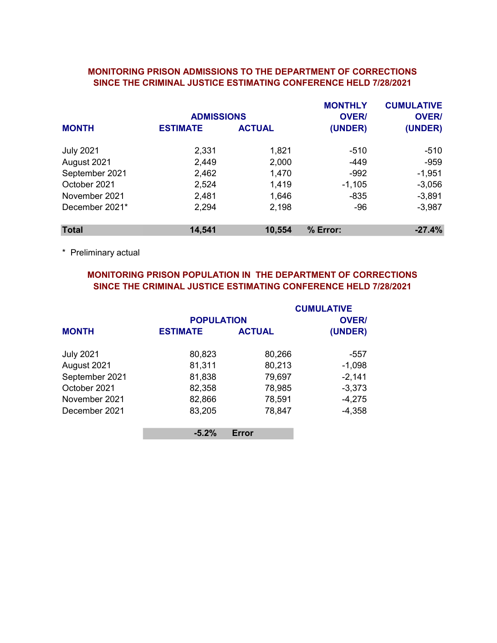### MONITORING PRISON ADMISSIONS TO THE DEPARTMENT OF CORRECTIONS SINCE THE CRIMINAL JUSTICE ESTIMATING CONFERENCE HELD 7/28/2021

|                  | <b>ADMISSIONS</b> |               | <b>MONTHLY</b><br><b>OVER/</b> | <b>CUMULATIVE</b><br><b>OVER/</b> |
|------------------|-------------------|---------------|--------------------------------|-----------------------------------|
| <b>MONTH</b>     | <b>ESTIMATE</b>   | <b>ACTUAL</b> | (UNDER)                        | (UNDER)                           |
| <b>July 2021</b> | 2,331             | 1,821         | $-510$                         | -510                              |
| August 2021      | 2,449             | 2,000         | $-449$                         | $-959$                            |
| September 2021   | 2,462             | 1,470         | $-992$                         | $-1,951$                          |
| October 2021     | 2,524             | 1,419         | $-1,105$                       | $-3,056$                          |
| November 2021    | 2,481             | 1,646         | $-835$                         | $-3,891$                          |
| December 2021*   | 2,294             | 2,198         | $-96$                          | $-3,987$                          |
| <b>Total</b>     | 14,541            | 10,554        | % Error:                       | $-27.4%$                          |

\* Preliminary actual

# MONITORING PRISON POPULATION IN THE DEPARTMENT OF CORRECTIONS SINCE THE CRIMINAL JUSTICE ESTIMATING CONFERENCE HELD 7/28/2021

|                  |                   |               | <b>CUMULATIVE</b> |
|------------------|-------------------|---------------|-------------------|
|                  | <b>POPULATION</b> |               | <b>OVER/</b>      |
| <b>MONTH</b>     | <b>ESTIMATE</b>   | <b>ACTUAL</b> | (UNDER)           |
| <b>July 2021</b> | 80,823            | 80,266        | -557              |
| August 2021      | 81,311            | 80,213        | $-1,098$          |
| September 2021   | 81,838            | 79,697        | $-2,141$          |
| October 2021     | 82,358            | 78,985        | $-3,373$          |
| November 2021    | 82,866            | 78,591        | $-4,275$          |
| December 2021    | 83,205            | 78,847        | $-4,358$          |
|                  | $-5.2%$           | Error         |                   |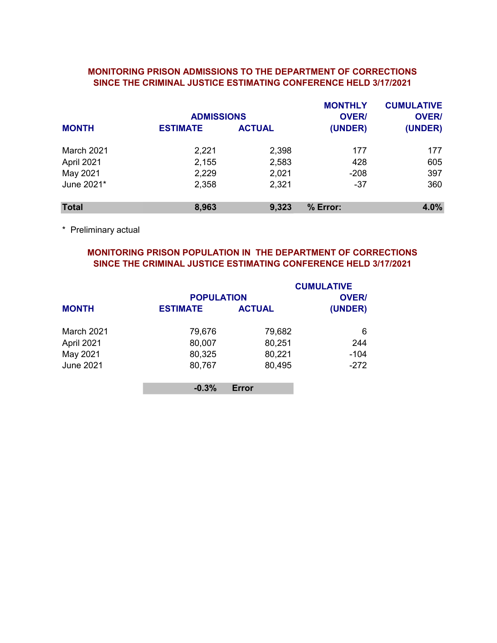# MONITORING PRISON ADMISSIONS TO THE DEPARTMENT OF CORRECTIONS SINCE THE CRIMINAL JUSTICE ESTIMATING CONFERENCE HELD 3/17/2021

|                   | <b>ADMISSIONS</b> |               | <b>MONTHLY</b><br><b>OVER/</b> | <b>CUMULATIVE</b><br><b>OVER/</b> |
|-------------------|-------------------|---------------|--------------------------------|-----------------------------------|
| <b>MONTH</b>      | <b>ESTIMATE</b>   | <b>ACTUAL</b> | (UNDER)                        | (UNDER)                           |
| <b>March 2021</b> | 2,221             | 2,398         | 177                            | 177                               |
| April 2021        | 2,155             | 2,583         | 428                            | 605                               |
| May 2021          | 2,229             | 2,021         | $-208$                         | 397                               |
| June 2021*        | 2,358             | 2,321         | $-37$                          | 360                               |
| <b>Total</b>      | 8,963             | 9,323         | % Error:                       | 4.0%                              |

\* Preliminary actual

# MONITORING PRISON POPULATION IN THE DEPARTMENT OF CORRECTIONS SINCE THE CRIMINAL JUSTICE ESTIMATING CONFERENCE HELD 3/17/2021

|                  |                   |               | <b>CUMULATIVE</b> |
|------------------|-------------------|---------------|-------------------|
|                  | <b>POPULATION</b> |               | <b>OVER/</b>      |
| <b>MONTH</b>     | <b>ESTIMATE</b>   | <b>ACTUAL</b> | (UNDER)           |
| March 2021       | 79,676            | 79,682        | 6                 |
| April 2021       | 80,007            | 80,251        | 244               |
| May 2021         | 80,325            | 80,221        | $-104$            |
| <b>June 2021</b> | 80,767            | 80,495        | $-272$            |
|                  | $-0.3%$           | Error         |                   |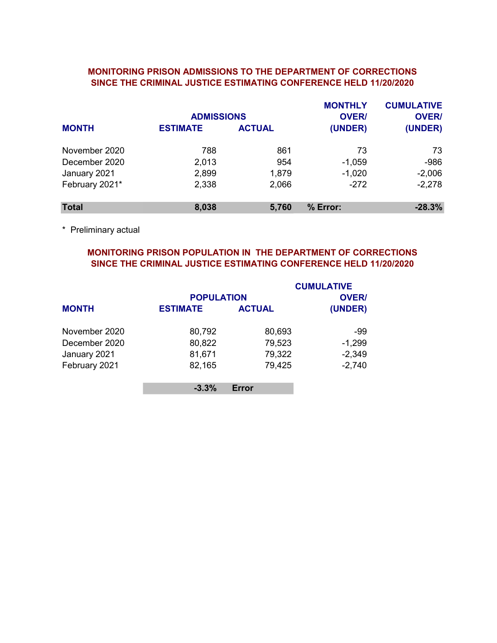### MONITORING PRISON ADMISSIONS TO THE DEPARTMENT OF CORRECTIONS SINCE THE CRIMINAL JUSTICE ESTIMATING CONFERENCE HELD 11/20/2020

|                | <b>ADMISSIONS</b> |               | <b>MONTHLY</b><br><b>OVER/</b> | <b>CUMULATIVE</b><br><b>OVER/</b> |
|----------------|-------------------|---------------|--------------------------------|-----------------------------------|
| <b>MONTH</b>   | <b>ESTIMATE</b>   | <b>ACTUAL</b> | (UNDER)                        | (UNDER)                           |
| November 2020  | 788               | 861           | 73                             | 73                                |
| December 2020  | 2,013             | 954           | $-1,059$                       | $-986$                            |
| January 2021   | 2,899             | 1,879         | $-1,020$                       | $-2,006$                          |
| February 2021* | 2,338             | 2,066         | $-272$                         | $-2,278$                          |
| <b>Total</b>   | 8,038             | 5,760         | % Error:                       | $-28.3%$                          |

\* Preliminary actual

# MONITORING PRISON POPULATION IN THE DEPARTMENT OF CORRECTIONS SINCE THE CRIMINAL JUSTICE ESTIMATING CONFERENCE HELD 11/20/2020

|               | <b>POPULATION</b> |               | <b>CUMULATIVE</b><br><b>OVER/</b> |
|---------------|-------------------|---------------|-----------------------------------|
| <b>MONTH</b>  | <b>ESTIMATE</b>   | <b>ACTUAL</b> | (UNDER)                           |
| November 2020 | 80,792            | 80,693        | -99                               |
| December 2020 | 80,822            | 79,523        | $-1,299$                          |
| January 2021  | 81,671            | 79,322        | $-2,349$                          |
| February 2021 | 82,165            | 79,425        | $-2,740$                          |
|               | $-3.3%$           | Error         |                                   |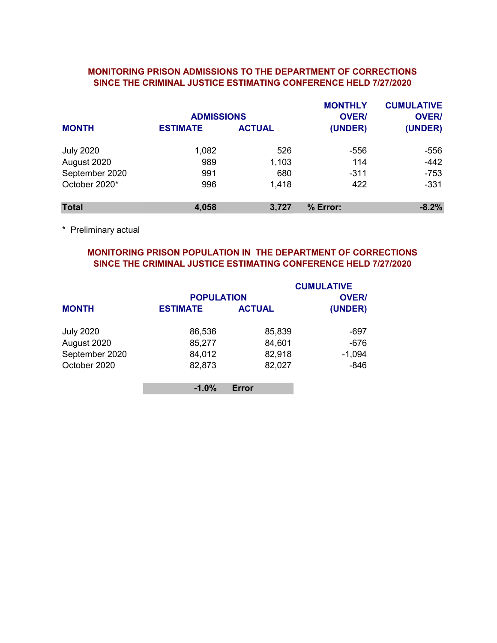### MONITORING PRISON ADMISSIONS TO THE DEPARTMENT OF CORRECTIONS SINCE THE CRIMINAL JUSTICE ESTIMATING CONFERENCE HELD 7/27/2020

|                  | <b>ADMISSIONS</b> |               | <b>MONTHLY</b><br><b>OVER/</b> | <b>CUMULATIVE</b><br><b>OVER/</b> |
|------------------|-------------------|---------------|--------------------------------|-----------------------------------|
| <b>MONTH</b>     | <b>ESTIMATE</b>   | <b>ACTUAL</b> | (UNDER)                        | (UNDER)                           |
| <b>July 2020</b> | 1,082             | 526           | -556                           | $-556$                            |
| August 2020      | 989               | 1,103         | 114                            | $-442$                            |
| September 2020   | 991               | 680           | $-311$                         | $-753$                            |
| October 2020*    | 996               | 1.418         | 422                            | $-331$                            |
| <b>Total</b>     | 4,058             | 3,727         | % Error:                       | $-8.2%$                           |

\* Preliminary actual

# MONITORING PRISON POPULATION IN THE DEPARTMENT OF CORRECTIONS SINCE THE CRIMINAL JUSTICE ESTIMATING CONFERENCE HELD 7/27/2020

|                  | <b>POPULATION</b> |               | <b>CUMULATIVE</b><br><b>OVER/</b> |
|------------------|-------------------|---------------|-----------------------------------|
| <b>MONTH</b>     | <b>ESTIMATE</b>   | <b>ACTUAL</b> | (UNDER)                           |
| <b>July 2020</b> | 86,536            | 85,839        | -697                              |
| August 2020      | 85,277            | 84,601        | $-676$                            |
| September 2020   | 84,012            | 82,918        | $-1,094$                          |
| October 2020     | 82,873            | 82,027        | $-846$                            |
|                  | $-1.0%$           | Error         |                                   |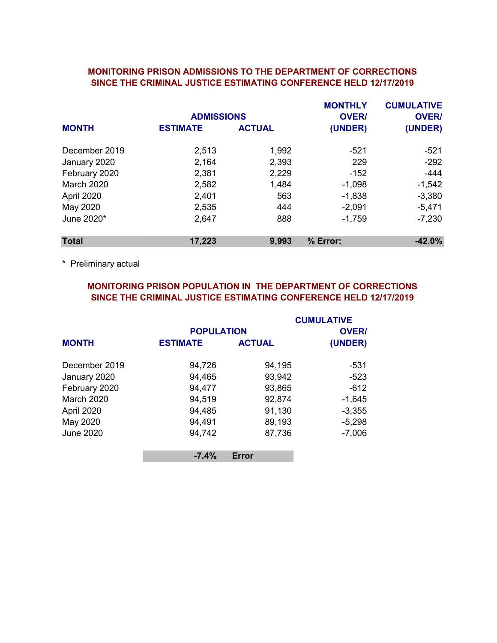#### MONITORING PRISON ADMISSIONS TO THE DEPARTMENT OF CORRECTIONS SINCE THE CRIMINAL JUSTICE ESTIMATING CONFERENCE HELD 12/17/2019

|                   | <b>ADMISSIONS</b> |               | <b>MONTHLY</b><br><b>OVER/</b> | <b>CUMULATIVE</b><br><b>OVER/</b> |
|-------------------|-------------------|---------------|--------------------------------|-----------------------------------|
| <b>MONTH</b>      | <b>ESTIMATE</b>   | <b>ACTUAL</b> | (UNDER)                        | (UNDER)                           |
| December 2019     | 2,513             | 1,992         | -521                           | $-521$                            |
| January 2020      | 2,164             | 2,393         | 229                            | $-292$                            |
| February 2020     | 2,381             | 2,229         | $-152$                         | $-444$                            |
| <b>March 2020</b> | 2,582             | 1,484         | $-1,098$                       | $-1,542$                          |
| April 2020        | 2,401             | 563           | $-1,838$                       | $-3,380$                          |
| May 2020          | 2,535             | 444           | $-2,091$                       | $-5,471$                          |
| June 2020*        | 2,647             | 888           | $-1,759$                       | $-7,230$                          |
| <b>Total</b>      | 17,223            | 9,993         | % Error:                       | $-42.0%$                          |

\* Preliminary actual

# MONITORING PRISON POPULATION IN THE DEPARTMENT OF CORRECTIONS SINCE THE CRIMINAL JUSTICE ESTIMATING CONFERENCE HELD 12/17/2019

|                   |                                      |               | <b>CUMULATIVE</b>       |
|-------------------|--------------------------------------|---------------|-------------------------|
| <b>MONTH</b>      | <b>POPULATION</b><br><b>ESTIMATE</b> | <b>ACTUAL</b> | <b>OVER/</b><br>(UNDER) |
|                   |                                      |               |                         |
| December 2019     | 94,726                               | 94,195        | -531                    |
| January 2020      | 94,465                               | 93,942        | $-523$                  |
| February 2020     | 94,477                               | 93,865        | $-612$                  |
| <b>March 2020</b> | 94,519                               | 92,874        | $-1,645$                |
| April 2020        | 94,485                               | 91,130        | $-3,355$                |
| May 2020          | 94,491                               | 89,193        | $-5,298$                |
| <b>June 2020</b>  | 94,742                               | 87,736        | $-7,006$                |
|                   | $-7.4%$                              | Error         |                         |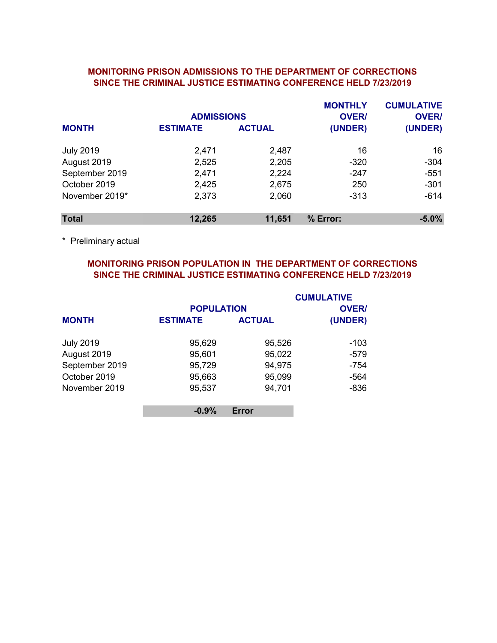## MONITORING PRISON ADMISSIONS TO THE DEPARTMENT OF CORRECTIONS SINCE THE CRIMINAL JUSTICE ESTIMATING CONFERENCE HELD 7/23/2019

|                  | <b>ADMISSIONS</b> |               | <b>MONTHLY</b><br><b>OVER/</b> | <b>CUMULATIVE</b><br><b>OVER/</b> |
|------------------|-------------------|---------------|--------------------------------|-----------------------------------|
| <b>MONTH</b>     | <b>ESTIMATE</b>   | <b>ACTUAL</b> | (UNDER)                        | (UNDER)                           |
| <b>July 2019</b> | 2,471             | 2,487         | 16                             | 16                                |
| August 2019      | 2,525             | 2,205         | $-320$                         | $-304$                            |
| September 2019   | 2,471             | 2,224         | $-247$                         | $-551$                            |
| October 2019     | 2,425             | 2,675         | 250                            | $-301$                            |
| November 2019*   | 2,373             | 2,060         | $-313$                         | $-614$                            |
| <b>Total</b>     | 12,265            | 11,651        | % Error:                       | $-5.0%$                           |

\* Preliminary actual

# MONITORING PRISON POPULATION IN THE DEPARTMENT OF CORRECTIONS SINCE THE CRIMINAL JUSTICE ESTIMATING CONFERENCE HELD 7/23/2019

|                  |                   |               | <b>CUMULATIVE</b> |
|------------------|-------------------|---------------|-------------------|
|                  | <b>POPULATION</b> |               | <b>OVER/</b>      |
| <b>MONTH</b>     | <b>ESTIMATE</b>   | <b>ACTUAL</b> | (UNDER)           |
| <b>July 2019</b> | 95,629            | 95,526        | -103              |
| August 2019      | 95,601            | 95,022        | $-579$            |
| September 2019   | 95,729            | 94,975        | $-754$            |
| October 2019     | 95,663            | 95,099        | $-564$            |
| November 2019    | 95,537            | 94,701        | $-836$            |
|                  | $-0.9%$           | Error         |                   |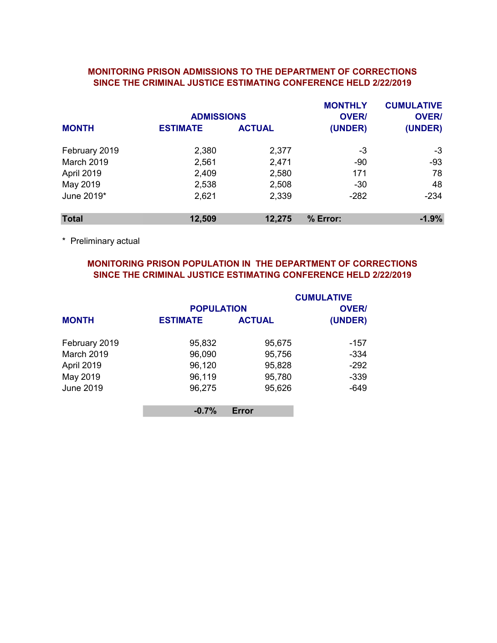### MONITORING PRISON ADMISSIONS TO THE DEPARTMENT OF CORRECTIONS SINCE THE CRIMINAL JUSTICE ESTIMATING CONFERENCE HELD 2/22/2019

|                   | <b>ADMISSIONS</b> |               | <b>MONTHLY</b><br><b>OVER/</b> | <b>CUMULATIVE</b><br><b>OVER/</b> |
|-------------------|-------------------|---------------|--------------------------------|-----------------------------------|
| <b>MONTH</b>      | <b>ESTIMATE</b>   | <b>ACTUAL</b> | (UNDER)                        | (UNDER)                           |
| February 2019     | 2,380             | 2,377         | -3                             | -3                                |
| <b>March 2019</b> | 2,561             | 2,471         | $-90$                          | $-93$                             |
| April 2019        | 2,409             | 2,580         | 171                            | 78                                |
| May 2019          | 2,538             | 2,508         | $-30$                          | 48                                |
| June 2019*        | 2,621             | 2,339         | $-282$                         | $-234$                            |
| <b>Total</b>      | 12,509            | 12,275        | % Error:                       | $-1.9%$                           |

\* Preliminary actual

# MONITORING PRISON POPULATION IN THE DEPARTMENT OF CORRECTIONS SINCE THE CRIMINAL JUSTICE ESTIMATING CONFERENCE HELD 2/22/2019

|                   | <b>POPULATION</b> |               | <b>CUMULATIVE</b><br><b>OVER/</b> |
|-------------------|-------------------|---------------|-----------------------------------|
| <b>MONTH</b>      | <b>ESTIMATE</b>   | <b>ACTUAL</b> | (UNDER)                           |
| February 2019     | 95,832            | 95,675        | -157                              |
| <b>March 2019</b> | 96,090            | 95,756        | $-334$                            |
| April 2019        | 96,120            | 95,828        | $-292$                            |
| May 2019          | 96,119            | 95,780        | $-339$                            |
| <b>June 2019</b>  | 96,275            | 95,626        | $-649$                            |
|                   | $-0.7%$           | Error         |                                   |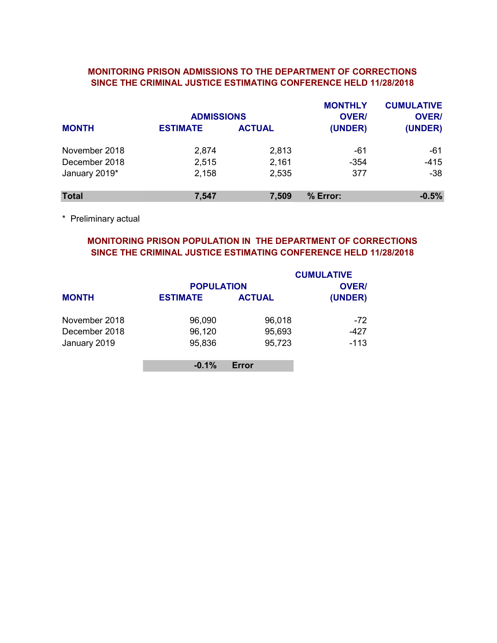### MONITORING PRISON ADMISSIONS TO THE DEPARTMENT OF CORRECTIONS SINCE THE CRIMINAL JUSTICE ESTIMATING CONFERENCE HELD 11/28/2018

|               | <b>ADMISSIONS</b> |               | <b>MONTHLY</b><br><b>OVER/</b> | <b>CUMULATIVE</b><br><b>OVER/</b> |
|---------------|-------------------|---------------|--------------------------------|-----------------------------------|
| <b>MONTH</b>  | <b>ESTIMATE</b>   | <b>ACTUAL</b> | (UNDER)                        | (UNDER)                           |
| November 2018 | 2,874             | 2,813         | $-61$                          | $-61$                             |
| December 2018 | 2,515             | 2,161         | $-354$                         | $-415$                            |
| January 2019* | 2,158             | 2,535         | 377                            | $-38$                             |
| <b>Total</b>  | 7,547             | 7,509         | % Error:                       | $-0.5%$                           |

\* Preliminary actual

# MONITORING PRISON POPULATION IN THE DEPARTMENT OF CORRECTIONS SINCE THE CRIMINAL JUSTICE ESTIMATING CONFERENCE HELD 11/28/2018

|               |                   |               | <b>CUMULATIVE</b> |
|---------------|-------------------|---------------|-------------------|
|               | <b>POPULATION</b> |               | <b>OVER/</b>      |
| <b>MONTH</b>  | <b>ESTIMATE</b>   | <b>ACTUAL</b> | (UNDER)           |
| November 2018 | 96,090            | 96,018        | $-72$             |
| December 2018 | 96,120            | 95,693        | -427              |
| January 2019  | 95,836            | 95,723        | $-113$            |
|               | $-0.1%$           | Error         |                   |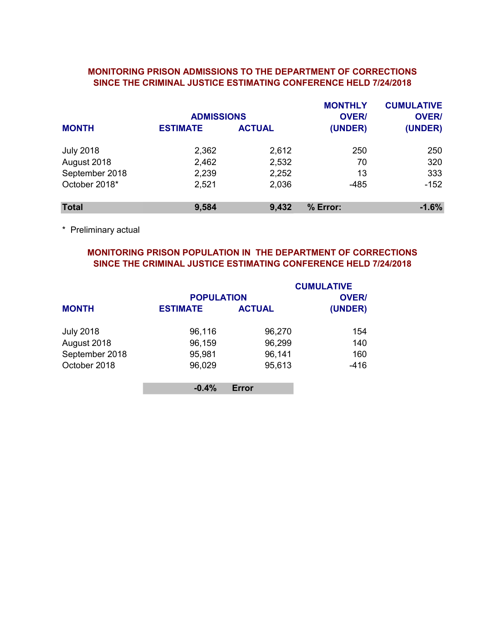## MONITORING PRISON ADMISSIONS TO THE DEPARTMENT OF CORRECTIONS SINCE THE CRIMINAL JUSTICE ESTIMATING CONFERENCE HELD 7/24/2018

|                  | <b>ADMISSIONS</b> |               | <b>MONTHLY</b><br><b>OVER/</b> | <b>CUMULATIVE</b><br><b>OVER/</b> |
|------------------|-------------------|---------------|--------------------------------|-----------------------------------|
| <b>MONTH</b>     | <b>ESTIMATE</b>   | <b>ACTUAL</b> | (UNDER)                        | (UNDER)                           |
| <b>July 2018</b> | 2,362             | 2,612         | 250                            | 250                               |
| August 2018      | 2,462             | 2,532         | 70                             | 320                               |
| September 2018   | 2,239             | 2,252         | 13                             | 333                               |
| October 2018*    | 2,521             | 2,036         | $-485$                         | $-152$                            |
| <b>Total</b>     | 9,584             | 9,432         | % Error:                       | $-1.6%$                           |

\* Preliminary actual

# MONITORING PRISON POPULATION IN THE DEPARTMENT OF CORRECTIONS SINCE THE CRIMINAL JUSTICE ESTIMATING CONFERENCE HELD 7/24/2018

|                  |                   |               | <b>CUMULATIVE</b> |
|------------------|-------------------|---------------|-------------------|
|                  | <b>POPULATION</b> |               | <b>OVER/</b>      |
| <b>MONTH</b>     | <b>ESTIMATE</b>   | <b>ACTUAL</b> | (UNDER)           |
| <b>July 2018</b> | 96,116            | 96,270        | 154               |
| August 2018      | 96,159            | 96,299        | 140               |
| September 2018   | 95,981            | 96,141        | 160               |
| October 2018     | 96,029            | 95,613        | $-416$            |
|                  | $-0.4%$           | Error         |                   |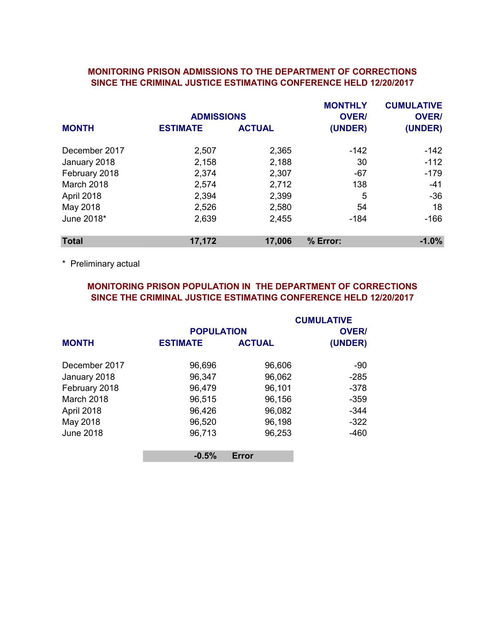#### MONITORING PRISON ADMISSIONS TO THE DEPARTMENT OF CORRECTIONS SINCE THE CRIMINAL JUSTICE ESTIMATING CONFERENCE HELD 12/20/2017

|               | <b>ADMISSIONS</b> |               | <b>MONTHLY</b><br><b>OVER/</b> | <b>CUMULATIVE</b><br><b>OVER/</b> |
|---------------|-------------------|---------------|--------------------------------|-----------------------------------|
| <b>MONTH</b>  | <b>ESTIMATE</b>   | <b>ACTUAL</b> | (UNDER)                        | (UNDER)                           |
| December 2017 | 2,507             | 2,365         | -142                           | $-142$                            |
| January 2018  | 2,158             | 2,188         | 30                             | $-112$                            |
| February 2018 | 2,374             | 2,307         | $-67$                          | $-179$                            |
| March 2018    | 2,574             | 2,712         | 138                            | $-41$                             |
| April 2018    | 2,394             | 2,399         | 5                              | $-36$                             |
| May 2018      | 2,526             | 2,580         | 54                             | 18                                |
| June 2018*    | 2,639             | 2,455         | $-184$                         | $-166$                            |
| <b>Total</b>  | 17,172            | 17,006        | % Error:                       | $-1.0%$                           |

\* Preliminary actual

# MONITORING PRISON POPULATION IN THE DEPARTMENT OF CORRECTIONS SINCE THE CRIMINAL JUSTICE ESTIMATING CONFERENCE HELD 12/20/2017

|                  |                   |               | <b>CUMULATIVE</b> |
|------------------|-------------------|---------------|-------------------|
|                  | <b>POPULATION</b> |               | <b>OVER/</b>      |
| <b>MONTH</b>     | <b>ESTIMATE</b>   | <b>ACTUAL</b> | (UNDER)           |
| December 2017    | 96,696            | 96,606        | -90               |
| January 2018     | 96,347            | 96,062        | $-285$            |
| February 2018    | 96,479            | 96,101        | $-378$            |
| March 2018       | 96,515            | 96,156        | $-359$            |
| April 2018       | 96,426            | 96,082        | $-344$            |
| May 2018         | 96,520            | 96,198        | $-322$            |
| <b>June 2018</b> | 96,713            | 96,253        | $-460$            |
|                  | $-0.5%$           | Error         |                   |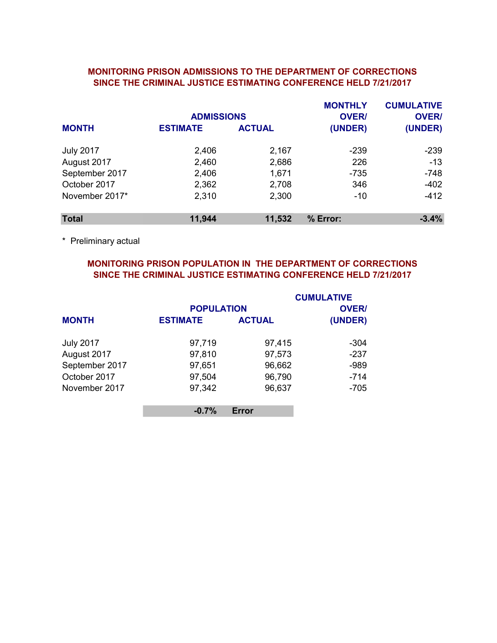### MONITORING PRISON ADMISSIONS TO THE DEPARTMENT OF CORRECTIONS SINCE THE CRIMINAL JUSTICE ESTIMATING CONFERENCE HELD 7/21/2017

|                  | <b>ADMISSIONS</b> |               | <b>MONTHLY</b><br><b>OVER/</b> | <b>CUMULATIVE</b><br><b>OVER/</b> |
|------------------|-------------------|---------------|--------------------------------|-----------------------------------|
| <b>MONTH</b>     | <b>ESTIMATE</b>   | <b>ACTUAL</b> | (UNDER)                        | (UNDER)                           |
| <b>July 2017</b> | 2,406             | 2,167         | $-239$                         | $-239$                            |
| August 2017      | 2,460             | 2,686         | 226                            | $-13$                             |
| September 2017   | 2,406             | 1,671         | $-735$                         | $-748$                            |
| October 2017     | 2,362             | 2,708         | 346                            | $-402$                            |
| November 2017*   | 2,310             | 2,300         | $-10$                          | $-412$                            |
| <b>Total</b>     | 11,944            | 11,532        | % Error:                       | $-3.4%$                           |

\* Preliminary actual

# MONITORING PRISON POPULATION IN THE DEPARTMENT OF CORRECTIONS SINCE THE CRIMINAL JUSTICE ESTIMATING CONFERENCE HELD 7/21/2017

|                  | <b>POPULATION</b> |               | <b>CUMULATIVE</b><br><b>OVER/</b> |
|------------------|-------------------|---------------|-----------------------------------|
| <b>MONTH</b>     | <b>ESTIMATE</b>   | <b>ACTUAL</b> | (UNDER)                           |
| <b>July 2017</b> | 97,719            | 97,415        | -304                              |
| August 2017      | 97,810            | 97,573        | $-237$                            |
| September 2017   | 97,651            | 96,662        | $-989$                            |
| October 2017     | 97,504            | 96,790        | $-714$                            |
| November 2017    | 97,342            | 96,637        | $-705$                            |
|                  | $-0.7%$           | Error         |                                   |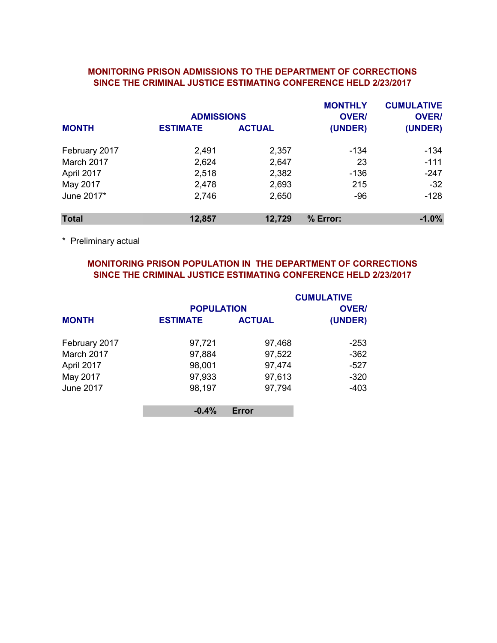### MONITORING PRISON ADMISSIONS TO THE DEPARTMENT OF CORRECTIONS SINCE THE CRIMINAL JUSTICE ESTIMATING CONFERENCE HELD 2/23/2017

|               | <b>ADMISSIONS</b> |               | <b>MONTHLY</b><br><b>OVER/</b> | <b>CUMULATIVE</b><br><b>OVER/</b> |
|---------------|-------------------|---------------|--------------------------------|-----------------------------------|
| <b>MONTH</b>  | <b>ESTIMATE</b>   | <b>ACTUAL</b> | (UNDER)                        | (UNDER)                           |
| February 2017 | 2,491             | 2,357         | -134                           | $-134$                            |
| March 2017    | 2,624             | 2,647         | 23                             | $-111$                            |
| April 2017    | 2,518             | 2,382         | $-136$                         | $-247$                            |
| May 2017      | 2,478             | 2,693         | 215                            | $-32$                             |
| June 2017*    | 2,746             | 2,650         | $-96$                          | $-128$                            |
| <b>Total</b>  | 12,857            | 12,729        | % Error:                       | $-1.0%$                           |

\* Preliminary actual

# MONITORING PRISON POPULATION IN THE DEPARTMENT OF CORRECTIONS SINCE THE CRIMINAL JUSTICE ESTIMATING CONFERENCE HELD 2/23/2017

|                  | <b>POPULATION</b> |               | <b>CUMULATIVE</b><br><b>OVER/</b> |
|------------------|-------------------|---------------|-----------------------------------|
| <b>MONTH</b>     | <b>ESTIMATE</b>   | <b>ACTUAL</b> | (UNDER)                           |
| February 2017    | 97,721            | 97,468        | -253                              |
| March 2017       | 97,884            | 97,522        | $-362$                            |
| April 2017       | 98,001            | 97,474        | $-527$                            |
| May 2017         | 97,933            | 97,613        | $-320$                            |
| <b>June 2017</b> | 98,197            | 97,794        | $-403$                            |
|                  | $-0.4%$           | Error         |                                   |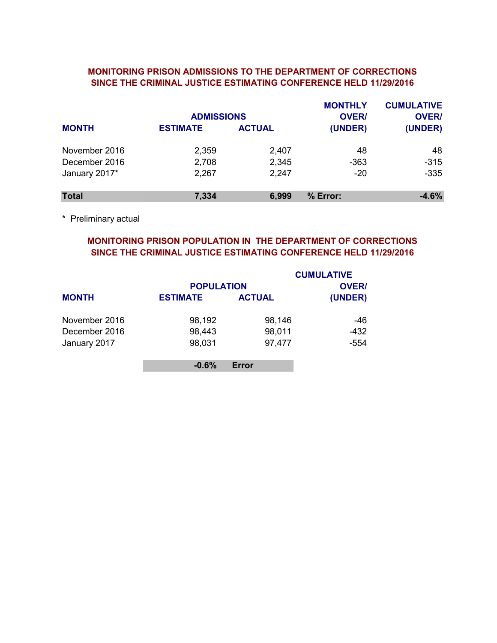### MONITORING PRISON ADMISSIONS TO THE DEPARTMENT OF CORRECTIONS SINCE THE CRIMINAL JUSTICE ESTIMATING CONFERENCE HELD 11/29/2016

|               | <b>ADMISSIONS</b> |               | <b>MONTHLY</b><br><b>OVER/</b> | <b>CUMULATIVE</b><br><b>OVER/</b> |
|---------------|-------------------|---------------|--------------------------------|-----------------------------------|
| <b>MONTH</b>  | <b>ESTIMATE</b>   | <b>ACTUAL</b> | (UNDER)                        | (UNDER)                           |
| November 2016 | 2,359             | 2,407         | 48                             | 48                                |
| December 2016 | 2,708             | 2,345         | $-363$                         | $-315$                            |
| January 2017* | 2,267             | 2,247         | $-20$                          | $-335$                            |
| <b>Total</b>  | 7,334             | 6,999         | % Error:                       | $-4.6%$                           |

\* Preliminary actual

# MONITORING PRISON POPULATION IN THE DEPARTMENT OF CORRECTIONS SINCE THE CRIMINAL JUSTICE ESTIMATING CONFERENCE HELD 11/29/2016

|               | <b>POPULATION</b> |               | <b>CUMULATIVE</b><br><b>OVER/</b> |
|---------------|-------------------|---------------|-----------------------------------|
| <b>MONTH</b>  | <b>ESTIMATE</b>   | <b>ACTUAL</b> | (UNDER)                           |
| November 2016 | 98,192            | 98,146        | -46                               |
| December 2016 | 98,443            | 98,011        | $-432$                            |
| January 2017  | 98,031            | 97,477        | $-554$                            |
|               | $-0.6%$           | Error         |                                   |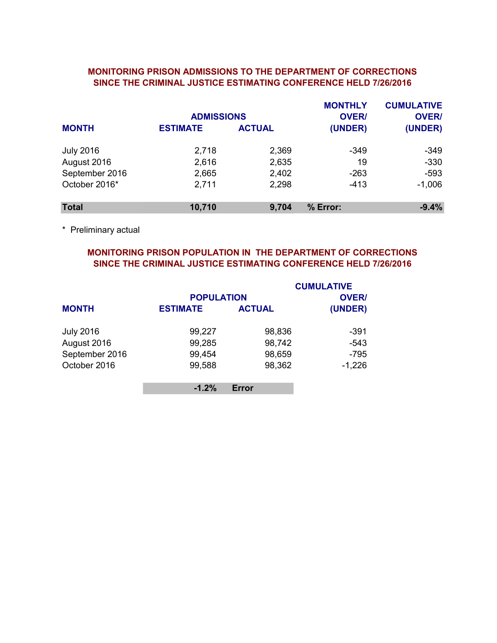## MONITORING PRISON ADMISSIONS TO THE DEPARTMENT OF CORRECTIONS SINCE THE CRIMINAL JUSTICE ESTIMATING CONFERENCE HELD 7/26/2016

|                  | <b>ADMISSIONS</b> |               | <b>MONTHLY</b><br><b>OVER/</b> | <b>CUMULATIVE</b><br><b>OVER/</b> |
|------------------|-------------------|---------------|--------------------------------|-----------------------------------|
| <b>MONTH</b>     | <b>ESTIMATE</b>   | <b>ACTUAL</b> | (UNDER)                        | (UNDER)                           |
| <b>July 2016</b> | 2,718             | 2,369         | $-349$                         | $-349$                            |
| August 2016      | 2,616             | 2,635         | 19                             | $-330$                            |
| September 2016   | 2,665             | 2,402         | $-263$                         | $-593$                            |
| October 2016*    | 2,711             | 2,298         | $-413$                         | $-1,006$                          |
| <b>Total</b>     | 10,710            | 9,704         | % Error:                       | $-9.4%$                           |

\* Preliminary actual

# MONITORING PRISON POPULATION IN THE DEPARTMENT OF CORRECTIONS SINCE THE CRIMINAL JUSTICE ESTIMATING CONFERENCE HELD 7/26/2016

|                  |                   |               | <b>CUMULATIVE</b> |
|------------------|-------------------|---------------|-------------------|
|                  | <b>POPULATION</b> |               | <b>OVER/</b>      |
| <b>MONTH</b>     | <b>ESTIMATE</b>   | <b>ACTUAL</b> | (UNDER)           |
| <b>July 2016</b> | 99,227            | 98,836        | -391              |
| August 2016      | 99,285            | 98,742        | $-543$            |
| September 2016   | 99,454            | 98,659        | $-795$            |
| October 2016     | 99,588            | 98,362        | $-1,226$          |
|                  | $-1.2%$           | Error         |                   |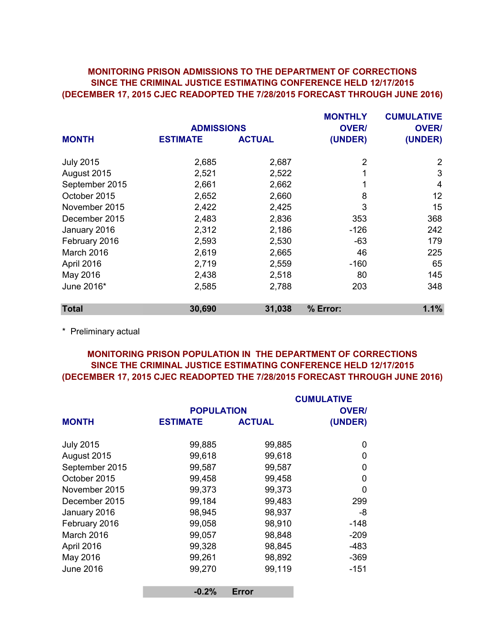# (DECEMBER 17, 2015 CJEC READOPTED THE 7/28/2015 FORECAST THROUGH JUNE 2016) MONITORING PRISON ADMISSIONS TO THE DEPARTMENT OF CORRECTIONS SINCE THE CRIMINAL JUSTICE ESTIMATING CONFERENCE HELD 12/17/2015

|                 |                | <b>MONTHLY</b>                      | <b>CUMULATIVE</b> |
|-----------------|----------------|-------------------------------------|-------------------|
|                 |                | <b>OVER/</b>                        | <b>OVER/</b>      |
| <b>ESTIMATE</b> | <b>ACTUAL</b>  | (UNDER)                             | (UNDER)           |
|                 |                |                                     | 2                 |
|                 |                |                                     |                   |
|                 |                |                                     | 3                 |
| 2,661           | 2,662          |                                     | 4                 |
| 2,652           | 2,660          | 8                                   | 12                |
| 2,422           | 2,425          | 3                                   | 15                |
| 2,483           | 2,836          | 353                                 | 368               |
| 2,312           | 2,186          | $-126$                              | 242               |
| 2,593           | 2,530          | $-63$                               | 179               |
| 2,619           | 2,665          | 46                                  | 225               |
| 2,719           | 2,559          | $-160$                              | 65                |
| 2,438           | 2,518          | 80                                  | 145               |
| 2,585           | 2,788          | 203                                 | 348               |
| 30,690          | 31,038         | % Error:                            | 1.1%              |
|                 | 2,685<br>2,521 | <b>ADMISSIONS</b><br>2,687<br>2,522 | 2<br>1            |

\* Preliminary actual

# MONITORING PRISON POPULATION IN THE DEPARTMENT OF CORRECTIONS SINCE THE CRIMINAL JUSTICE ESTIMATING CONFERENCE HELD 12/17/2015 (DECEMBER 17, 2015 CJEC READOPTED THE 7/28/2015 FORECAST THROUGH JUNE 2016)

|                  |                   |               | <b>CUMULATIVE</b> |
|------------------|-------------------|---------------|-------------------|
|                  | <b>POPULATION</b> |               | <b>OVER/</b>      |
| <b>MONTH</b>     | <b>ESTIMATE</b>   | <b>ACTUAL</b> | (UNDER)           |
| <b>July 2015</b> | 99,885            | 99,885        | 0                 |
| August 2015      | 99,618            | 99,618        | 0                 |
| September 2015   | 99,587            | 99,587        | 0                 |
| October 2015     | 99,458            | 99,458        | 0                 |
| November 2015    | 99,373            | 99,373        | $\Omega$          |
| December 2015    | 99,184            | 99,483        | 299               |
| January 2016     | 98,945            | 98,937        | -8                |
| February 2016    | 99,058            | 98,910        | $-148$            |
| March 2016       | 99,057            | 98,848        | $-209$            |
| April 2016       | 99,328            | 98,845        | $-483$            |
| May 2016         | 99,261            | 98,892        | $-369$            |
| <b>June 2016</b> | 99,270            | 99,119        | $-151$            |
|                  | $-0.2%$           | <b>Error</b>  |                   |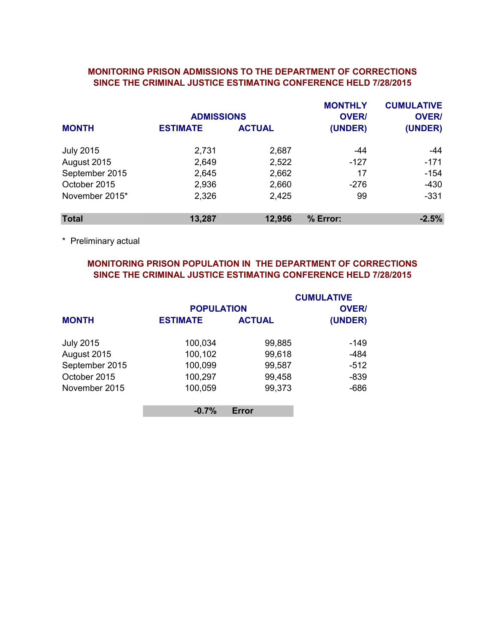### MONITORING PRISON ADMISSIONS TO THE DEPARTMENT OF CORRECTIONS SINCE THE CRIMINAL JUSTICE ESTIMATING CONFERENCE HELD 7/28/2015

|                  | <b>ADMISSIONS</b> |               | <b>MONTHLY</b><br><b>OVER/</b> | <b>CUMULATIVE</b><br><b>OVER/</b> |
|------------------|-------------------|---------------|--------------------------------|-----------------------------------|
| <b>MONTH</b>     | <b>ESTIMATE</b>   | <b>ACTUAL</b> | (UNDER)                        | (UNDER)                           |
| <b>July 2015</b> | 2,731             | 2,687         | -44                            | -44                               |
| August 2015      | 2,649             | 2,522         | $-127$                         | $-171$                            |
| September 2015   | 2,645             | 2,662         | 17                             | $-154$                            |
| October 2015     | 2,936             | 2,660         | $-276$                         | $-430$                            |
| November 2015*   | 2,326             | 2,425         | 99                             | $-331$                            |
| <b>Total</b>     | 13,287            | 12,956        | % Error:                       | $-2.5%$                           |

\* Preliminary actual

# MONITORING PRISON POPULATION IN THE DEPARTMENT OF CORRECTIONS SINCE THE CRIMINAL JUSTICE ESTIMATING CONFERENCE HELD 7/28/2015

|                  | <b>POPULATION</b> |               | <b>CUMULATIVE</b><br><b>OVER/</b> |
|------------------|-------------------|---------------|-----------------------------------|
| <b>MONTH</b>     | <b>ESTIMATE</b>   | <b>ACTUAL</b> | (UNDER)                           |
| <b>July 2015</b> | 100,034           | 99,885        | $-149$                            |
| August 2015      | 100,102           | 99,618        | $-484$                            |
| September 2015   | 100,099           | 99,587        | $-512$                            |
| October 2015     | 100,297           | 99,458        | $-839$                            |
| November 2015    | 100,059           | 99,373        | $-686$                            |
|                  | $-0.7%$           | Error         |                                   |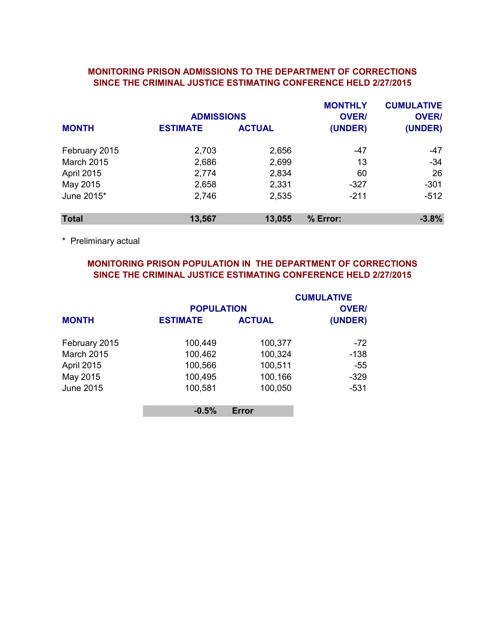### SINCE THE CRIMINAL JUSTICE ESTIMATING CONFERENCE HELD 2/27/2015 MONITORING PRISON ADMISSIONS TO THE DEPARTMENT OF CORRECTIONS

|                   | <b>ADMISSIONS</b> |               | <b>MONTHLY</b><br><b>OVER/</b> | <b>CUMULATIVE</b><br><b>OVER/</b> |
|-------------------|-------------------|---------------|--------------------------------|-----------------------------------|
| <b>MONTH</b>      | <b>ESTIMATE</b>   | <b>ACTUAL</b> | (UNDER)                        | (UNDER)                           |
| February 2015     | 2,703             | 2,656         | $-47$                          | $-47$                             |
| <b>March 2015</b> | 2,686             | 2,699         | 13                             | $-34$                             |
| <b>April 2015</b> | 2,774             | 2,834         | 60                             | 26                                |
| May 2015          | 2,658             | 2,331         | $-327$                         | $-301$                            |
| June 2015*        | 2,746             | 2,535         | $-211$                         | $-512$                            |
| <b>Total</b>      | 13,567            | 13,055        | % Error:                       | $-3.8%$                           |

\* Preliminary actual

# MONITORING PRISON POPULATION IN THE DEPARTMENT OF CORRECTIONS SINCE THE CRIMINAL JUSTICE ESTIMATING CONFERENCE HELD 2/27/2015

|                   |                   |               | <b>CUMULATIVE</b> |
|-------------------|-------------------|---------------|-------------------|
|                   | <b>POPULATION</b> |               | <b>OVER/</b>      |
| <b>MONTH</b>      | <b>ESTIMATE</b>   | <b>ACTUAL</b> | (UNDER)           |
| February 2015     | 100,449           | 100,377       | -72               |
| <b>March 2015</b> | 100,462           | 100,324       | $-138$            |
| <b>April 2015</b> | 100,566           | 100,511       | $-55$             |
| May 2015          | 100,495           | 100,166       | $-329$            |
| <b>June 2015</b>  | 100,581           | 100,050       | $-531$            |
|                   | $-0.5%$           | Error         |                   |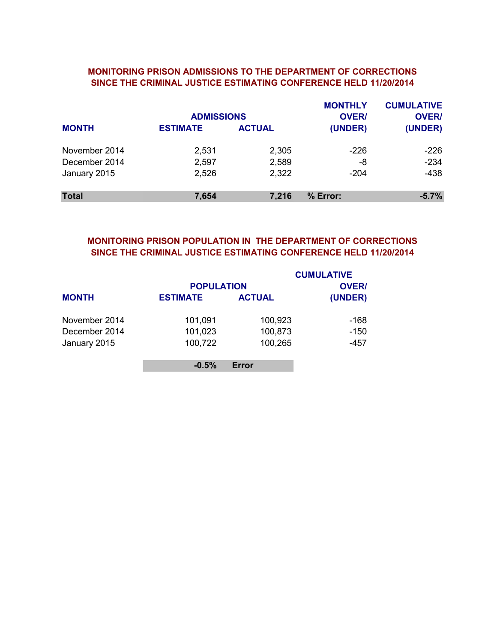### MONITORING PRISON ADMISSIONS TO THE DEPARTMENT OF CORRECTIONS SINCE THE CRIMINAL JUSTICE ESTIMATING CONFERENCE HELD 11/20/2014

|               | <b>ADMISSIONS</b> |               | <b>MONTHLY</b><br><b>OVER/</b> | <b>CUMULATIVE</b><br><b>OVER/</b> |
|---------------|-------------------|---------------|--------------------------------|-----------------------------------|
| <b>MONTH</b>  | <b>ESTIMATE</b>   | <b>ACTUAL</b> | (UNDER)                        | (UNDER)                           |
| November 2014 | 2,531             | 2,305         | $-226$                         | $-226$                            |
| December 2014 | 2,597             | 2,589         | -8                             | $-234$                            |
| January 2015  | 2,526             | 2,322         | $-204$                         | $-438$                            |
| <b>Total</b>  | 7,654             | 7,216         | % Error:                       | $-5.7%$                           |

# SINCE THE CRIMINAL JUSTICE ESTIMATING CONFERENCE HELD 11/20/2014 MONITORING PRISON POPULATION IN THE DEPARTMENT OF CORRECTIONS

|               | <b>POPULATION</b> |               | <b>CUMULATIVE</b><br><b>OVER/</b> |
|---------------|-------------------|---------------|-----------------------------------|
| <b>MONTH</b>  | <b>ESTIMATE</b>   | <b>ACTUAL</b> | (UNDER)                           |
| November 2014 | 101,091           | 100,923       | $-168$                            |
| December 2014 | 101,023           | 100,873       | $-150$                            |
| January 2015  | 100,722           | 100,265       | $-457$                            |
|               | $-0.5%$           | Error         |                                   |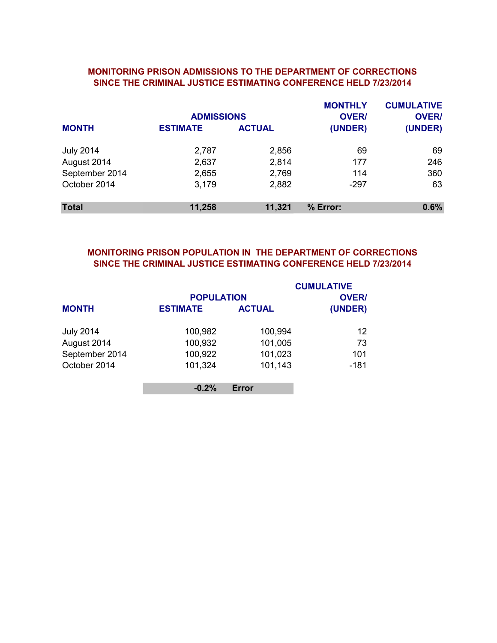### MONITORING PRISON ADMISSIONS TO THE DEPARTMENT OF CORRECTIONS SINCE THE CRIMINAL JUSTICE ESTIMATING CONFERENCE HELD 7/23/2014

|                  | <b>ADMISSIONS</b> |               | <b>MONTHLY</b><br><b>OVER/</b> | <b>CUMULATIVE</b><br><b>OVER/</b> |
|------------------|-------------------|---------------|--------------------------------|-----------------------------------|
| <b>MONTH</b>     | <b>ESTIMATE</b>   | <b>ACTUAL</b> | (UNDER)                        | (UNDER)                           |
| <b>July 2014</b> | 2,787             | 2,856         | 69                             | 69                                |
| August 2014      | 2,637             | 2,814         | 177                            | 246                               |
| September 2014   | 2,655             | 2,769         | 114                            | 360                               |
| October 2014     | 3,179             | 2,882         | $-297$                         | 63                                |
| <b>Total</b>     | 11,258            | 11,321        | % Error:                       | 0.6%                              |

# MONITORING PRISON POPULATION IN THE DEPARTMENT OF CORRECTIONS SINCE THE CRIMINAL JUSTICE ESTIMATING CONFERENCE HELD 7/23/2014

|                  | <b>POPULATION</b> |               | <b>CUMULATIVE</b><br><b>OVER/</b> |
|------------------|-------------------|---------------|-----------------------------------|
| <b>MONTH</b>     | <b>ESTIMATE</b>   | <b>ACTUAL</b> | (UNDER)                           |
| <b>July 2014</b> | 100,982           | 100,994       | 12                                |
| August 2014      | 100,932           | 101,005       | 73                                |
| September 2014   | 100,922           | 101,023       | 101                               |
| October 2014     | 101,324           | 101,143       | $-181$                            |
|                  | $-0.2%$           | Error         |                                   |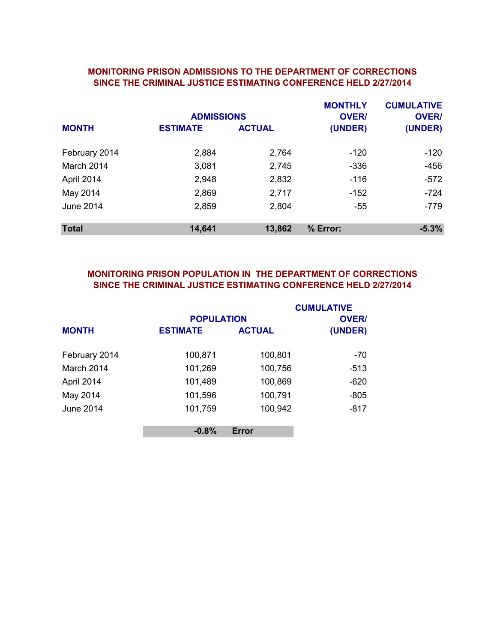#### MONITORING PRISON ADMISSIONS TO THE DEPARTMENT OF CORRECTIONS SINCE THE CRIMINAL JUSTICE ESTIMATING CONFERENCE HELD 2/27/2014

|                  | <b>ADMISSIONS</b> |               | <b>MONTHLY</b><br><b>OVER/</b> | <b>CUMULATIVE</b><br><b>OVER/</b> |
|------------------|-------------------|---------------|--------------------------------|-----------------------------------|
| <b>MONTH</b>     | <b>ESTIMATE</b>   | <b>ACTUAL</b> | (UNDER)                        | (UNDER)                           |
| February 2014    | 2,884             | 2,764         | -120                           | $-120$                            |
| March 2014       | 3,081             | 2,745         | $-336$                         | $-456$                            |
| April 2014       | 2,948             | 2,832         | $-116$                         | $-572$                            |
| May 2014         | 2,869             | 2,717         | -152                           | $-724$                            |
| <b>June 2014</b> | 2,859             | 2,804         | $-55$                          | $-779$                            |
| <b>Total</b>     | 14,641            | 13,862        | % Error:                       | $-5.3%$                           |

# MONITORING PRISON POPULATION IN THE DEPARTMENT OF CORRECTIONS SINCE THE CRIMINAL JUSTICE ESTIMATING CONFERENCE HELD 2/27/2014

|                  |                   |               | <b>CUMULATIVE</b> |
|------------------|-------------------|---------------|-------------------|
|                  | <b>POPULATION</b> |               | <b>OVER/</b>      |
| <b>MONTH</b>     | <b>ESTIMATE</b>   | <b>ACTUAL</b> | (UNDER)           |
| February 2014    | 100,871           | 100,801       | $-70$             |
| March 2014       | 101,269           | 100,756       | $-513$            |
| April 2014       | 101,489           | 100,869       | $-620$            |
| May 2014         | 101,596           | 100,791       | $-805$            |
| <b>June 2014</b> | 101,759           | 100,942       | $-817$            |
|                  | $-0.8%$           | <b>Error</b>  |                   |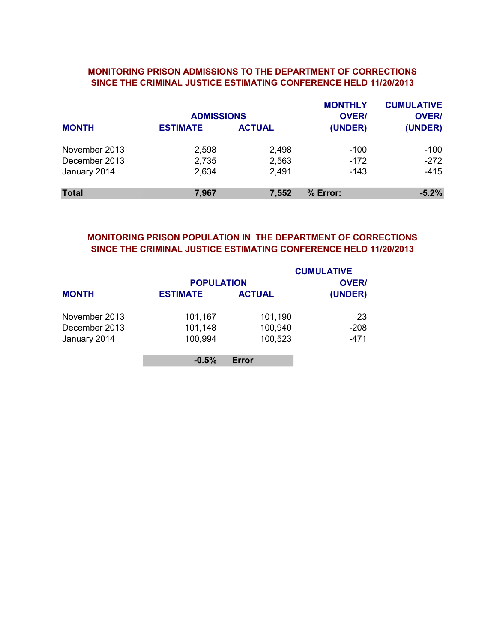### SINCE THE CRIMINAL JUSTICE ESTIMATING CONFERENCE HELD 11/20/2013 MONITORING PRISON ADMISSIONS TO THE DEPARTMENT OF CORRECTIONS

|               | <b>ADMISSIONS</b> |               | <b>MONTHLY</b><br><b>OVER/</b> | <b>CUMULATIVE</b><br><b>OVER/</b> |
|---------------|-------------------|---------------|--------------------------------|-----------------------------------|
| <b>MONTH</b>  | <b>ESTIMATE</b>   | <b>ACTUAL</b> | (UNDER)                        | (UNDER)                           |
| November 2013 | 2,598             | 2,498         | $-100$                         | $-100$                            |
| December 2013 | 2,735             | 2,563         | $-172$                         | $-272$                            |
| January 2014  | 2,634             | 2,491         | $-143$                         | -415                              |
| <b>Total</b>  | 7,967             | 7,552         | % Error:                       | $-5.2%$                           |

### SINCE THE CRIMINAL JUSTICE ESTIMATING CONFERENCE HELD 11/20/2013 MONITORING PRISON POPULATION IN THE DEPARTMENT OF CORRECTIONS

|               |                   |               | <b>CUMULATIVE</b> |
|---------------|-------------------|---------------|-------------------|
|               | <b>POPULATION</b> | <b>OVER/</b>  |                   |
| <b>MONTH</b>  | <b>ESTIMATE</b>   | <b>ACTUAL</b> | (UNDER)           |
| November 2013 | 101,167           | 101,190       | 23                |
| December 2013 | 101,148           | 100,940       | $-208$            |
| January 2014  | 100,994           | 100,523       | $-471$            |
|               | $-0.5%$           | Error         |                   |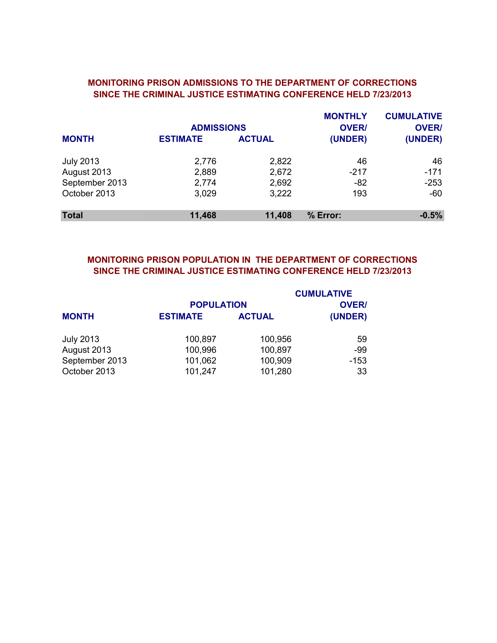## MONITORING PRISON ADMISSIONS TO THE DEPARTMENT OF CORRECTIONS SINCE THE CRIMINAL JUSTICE ESTIMATING CONFERENCE HELD 7/23/2013

|                  | <b>ADMISSIONS</b> |               | <b>MONTHLY</b><br><b>OVER/</b> | <b>CUMULATIVE</b><br><b>OVER/</b> |
|------------------|-------------------|---------------|--------------------------------|-----------------------------------|
| <b>MONTH</b>     | <b>ESTIMATE</b>   | <b>ACTUAL</b> | (UNDER)                        | (UNDER)                           |
| <b>July 2013</b> | 2,776             | 2,822         | 46                             | 46                                |
| August 2013      | 2,889             | 2,672         | $-217$                         | $-171$                            |
| September 2013   | 2,774             | 2,692         | $-82$                          | $-253$                            |
| October 2013     | 3,029             | 3,222         | 193                            | $-60$                             |
| <b>Total</b>     | 11,468            | 11,408        | % Error:                       | $-0.5%$                           |

# MONITORING PRISON POPULATION IN THE DEPARTMENT OF CORRECTIONS SINCE THE CRIMINAL JUSTICE ESTIMATING CONFERENCE HELD 7/23/2013

|                  |                   |               | <b>CUMULATIVE</b> |
|------------------|-------------------|---------------|-------------------|
|                  | <b>POPULATION</b> |               | <b>OVER/</b>      |
| <b>MONTH</b>     | <b>ESTIMATE</b>   | <b>ACTUAL</b> | (UNDER)           |
| <b>July 2013</b> | 100,897           | 100,956       | 59                |
| August 2013      | 100,996           | 100,897       | -99               |
| September 2013   | 101,062           | 100,909       | $-153$            |
| October 2013     | 101,247           | 101,280       | 33                |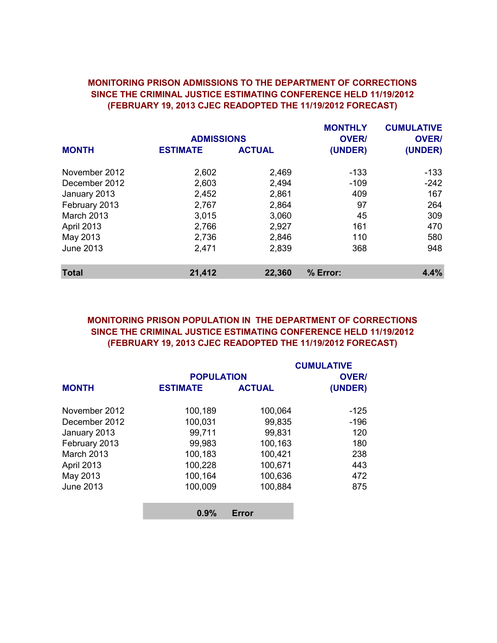## SINCE THE CRIMINAL JUSTICE ESTIMATING CONFERENCE HELD 11/19/2012 (FEBRUARY 19, 2013 CJEC READOPTED THE 11/19/2012 FORECAST) MONITORING PRISON ADMISSIONS TO THE DEPARTMENT OF CORRECTIONS

|                   |                   |               | <b>MONTHLY</b> | <b>CUMULATIVE</b> |
|-------------------|-------------------|---------------|----------------|-------------------|
|                   | <b>ADMISSIONS</b> |               | <b>OVER/</b>   | <b>OVER/</b>      |
| <b>MONTH</b>      | <b>ESTIMATE</b>   | <b>ACTUAL</b> | (UNDER)        | (UNDER)           |
| November 2012     | 2,602             | 2,469         | $-133$         | $-133$            |
| December 2012     | 2,603             | 2,494         | $-109$         | $-242$            |
| January 2013      | 2,452             | 2,861         | 409            | 167               |
| February 2013     | 2,767             | 2,864         | 97             | 264               |
| <b>March 2013</b> | 3,015             | 3,060         | 45             | 309               |
| April 2013        | 2,766             | 2,927         | 161            | 470               |
| May 2013          | 2,736             | 2,846         | 110            | 580               |
| <b>June 2013</b>  | 2,471             | 2,839         | 368            | 948               |
| <b>Total</b>      | 21,412            | 22,360        | % Error:       | 4.4%              |

# MONITORING PRISON POPULATION IN THE DEPARTMENT OF CORRECTIONS SINCE THE CRIMINAL JUSTICE ESTIMATING CONFERENCE HELD 11/19/2012 (FEBRUARY 19, 2013 CJEC READOPTED THE 11/19/2012 FORECAST)

|                   |                 |                   | <b>CUMULATIVE</b> |  |
|-------------------|-----------------|-------------------|-------------------|--|
|                   |                 | <b>POPULATION</b> |                   |  |
| <b>MONTH</b>      | <b>ESTIMATE</b> | <b>ACTUAL</b>     | (UNDER)           |  |
| November 2012     | 100,189         | 100,064           | $-125$            |  |
| December 2012     | 100,031         | 99,835            | $-196$            |  |
| January 2013      | 99,711          | 99,831            | 120               |  |
| February 2013     | 99,983          | 100,163           | 180               |  |
| <b>March 2013</b> | 100,183         | 100,421           | 238               |  |
| April 2013        | 100,228         | 100,671           | 443               |  |
| May 2013          | 100,164         | 100,636           | 472               |  |
| <b>June 2013</b>  | 100,009         | 100,884           | 875               |  |
|                   | 0.9%            | Error             |                   |  |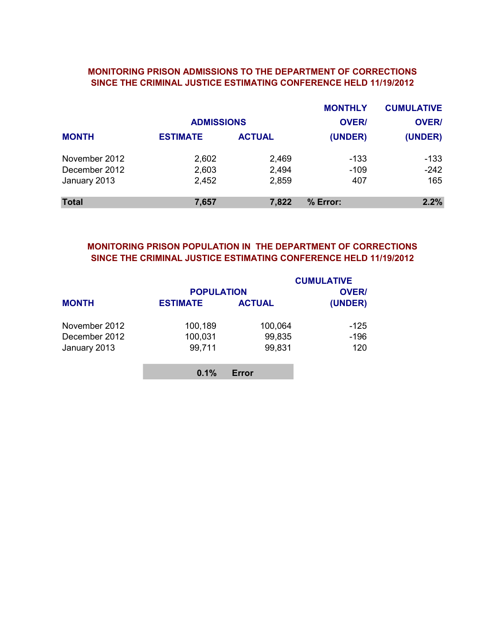#### MONITORING PRISON ADMISSIONS TO THE DEPARTMENT OF CORRECTIONS SINCE THE CRIMINAL JUSTICE ESTIMATING CONFERENCE HELD 11/19/2012

|               |                   |               | <b>MONTHLY</b> | <b>CUMULATIVE</b> |
|---------------|-------------------|---------------|----------------|-------------------|
|               | <b>ADMISSIONS</b> |               | <b>OVER/</b>   | <b>OVER/</b>      |
| <b>MONTH</b>  | <b>ESTIMATE</b>   | <b>ACTUAL</b> | (UNDER)        | (UNDER)           |
| November 2012 | 2,602             | 2,469         | -133           | $-133$            |
| December 2012 | 2,603             | 2,494         | $-109$         | $-242$            |
| January 2013  | 2,452             | 2,859         | 407            | 165               |
| <b>Total</b>  | 7,657             | 7,822         | % Error:       | 2.2%              |

# MONITORING PRISON POPULATION IN THE DEPARTMENT OF CORRECTIONS SINCE THE CRIMINAL JUSTICE ESTIMATING CONFERENCE HELD 11/19/2012

|               | <b>POPULATION</b> |               | <b>CUMULATIVE</b><br><b>OVER/</b> |
|---------------|-------------------|---------------|-----------------------------------|
| <b>MONTH</b>  | <b>ESTIMATE</b>   | <b>ACTUAL</b> | (UNDER)                           |
| November 2012 | 100,189           | 100,064       | -125                              |
| December 2012 | 100,031           | 99,835        | $-196$                            |
| January 2013  | 99,711            | 99,831        | 120                               |
|               | 0.1%              | Error         |                                   |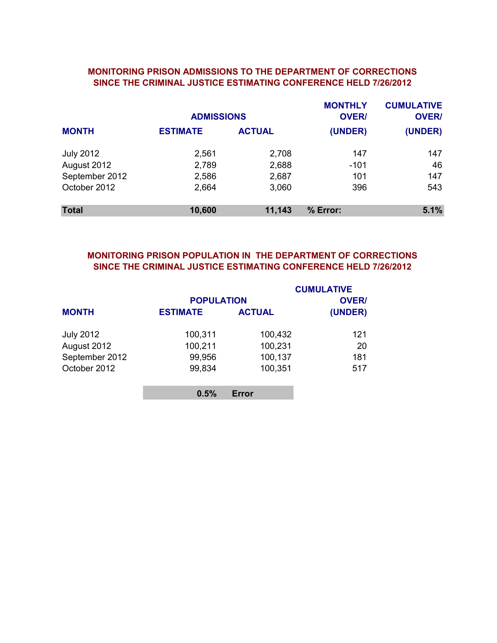### MONITORING PRISON ADMISSIONS TO THE DEPARTMENT OF CORRECTIONS SINCE THE CRIMINAL JUSTICE ESTIMATING CONFERENCE HELD 7/26/2012

|                  | <b>ADMISSIONS</b> |               | <b>MONTHLY</b><br><b>OVER/</b> | <b>CUMULATIVE</b><br><b>OVER/</b> |
|------------------|-------------------|---------------|--------------------------------|-----------------------------------|
| <b>MONTH</b>     | <b>ESTIMATE</b>   | <b>ACTUAL</b> | (UNDER)                        | (UNDER)                           |
| <b>July 2012</b> | 2,561             | 2,708         | 147                            | 147                               |
| August 2012      | 2,789             | 2,688         | $-101$                         | 46                                |
| September 2012   | 2,586             | 2,687         | 101                            | 147                               |
| October 2012     | 2,664             | 3,060         | 396                            | 543                               |
| <b>Total</b>     | 10,600            | 11,143        | % Error:                       | 5.1%                              |

### MONITORING PRISON POPULATION IN THE DEPARTMENT OF CORRECTIONS SINCE THE CRIMINAL JUSTICE ESTIMATING CONFERENCE HELD 7/26/2012

|                  | <b>POPULATION</b> |               | <b>CUMULATIVE</b><br><b>OVER/</b> |
|------------------|-------------------|---------------|-----------------------------------|
| <b>MONTH</b>     | <b>ESTIMATE</b>   | <b>ACTUAL</b> | (UNDER)                           |
| <b>July 2012</b> | 100,311           | 100,432       | 121                               |
| August 2012      | 100,211           | 100,231       | 20                                |
| September 2012   | 99,956            | 100,137       | 181                               |
| October 2012     | 99,834            | 100,351       | 517                               |
|                  | 0.5%              | Error         |                                   |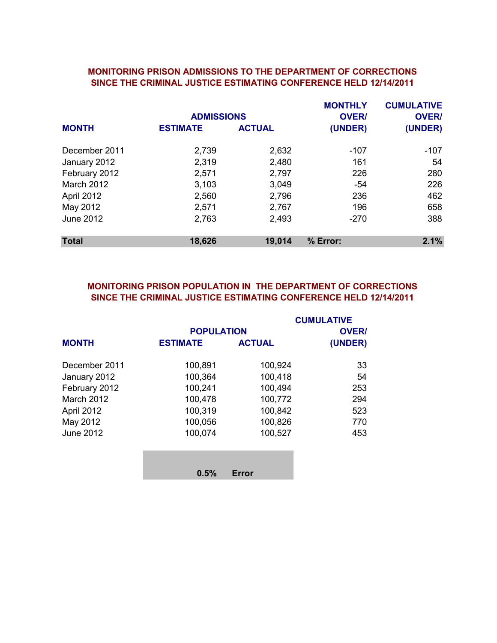#### MONITORING PRISON ADMISSIONS TO THE DEPARTMENT OF CORRECTIONS SINCE THE CRIMINAL JUSTICE ESTIMATING CONFERENCE HELD 12/14/2011

|                   | <b>ADMISSIONS</b> |               | <b>MONTHLY</b><br><b>OVER/</b> | <b>CUMULATIVE</b><br><b>OVER/</b> |
|-------------------|-------------------|---------------|--------------------------------|-----------------------------------|
| <b>MONTH</b>      | <b>ESTIMATE</b>   | <b>ACTUAL</b> | (UNDER)                        | (UNDER)                           |
| December 2011     | 2,739             | 2,632         | -107                           | $-107$                            |
| January 2012      | 2,319             | 2,480         | 161                            | 54                                |
| February 2012     | 2,571             | 2,797         | 226                            | 280                               |
| <b>March 2012</b> | 3,103             | 3,049         | -54                            | 226                               |
| April 2012        | 2,560             | 2,796         | 236                            | 462                               |
| May 2012          | 2,571             | 2,767         | 196                            | 658                               |
| <b>June 2012</b>  | 2,763             | 2,493         | $-270$                         | 388                               |
| <b>Total</b>      | 18,626            | 19,014        | % Error:                       | 2.1%                              |

# SINCE THE CRIMINAL JUSTICE ESTIMATING CONFERENCE HELD 12/14/2011 MONITORING PRISON POPULATION IN THE DEPARTMENT OF CORRECTIONS

|                   |                   |               | <b>CUMULATIVE</b> |
|-------------------|-------------------|---------------|-------------------|
|                   | <b>POPULATION</b> |               | <b>OVER/</b>      |
| <b>MONTH</b>      | <b>ESTIMATE</b>   | <b>ACTUAL</b> | (UNDER)           |
| December 2011     | 100,891           | 100,924       | 33                |
| January 2012      | 100,364           | 100,418       | 54                |
| February 2012     | 100,241           | 100,494       | 253               |
| <b>March 2012</b> | 100,478           | 100,772       | 294               |
| April 2012        | 100,319           | 100,842       | 523               |
| May 2012          | 100,056           | 100,826       | 770               |
| <b>June 2012</b>  | 100,074           | 100,527       | 453               |
|                   |                   |               |                   |
|                   | 0.5%              | Error         |                   |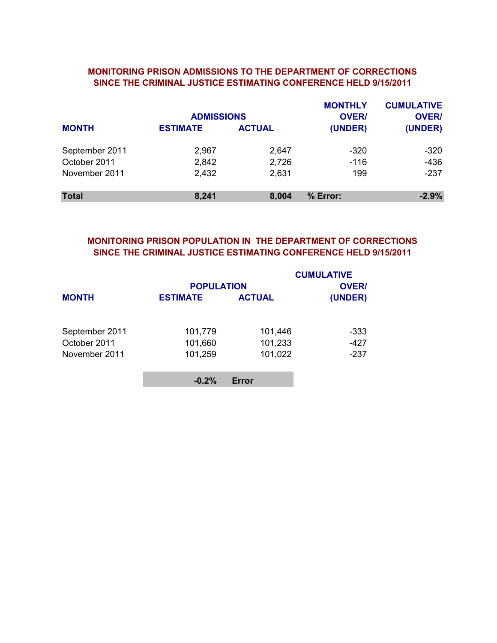### MONITORING PRISON ADMISSIONS TO THE DEPARTMENT OF CORRECTIONS SINCE THE CRIMINAL JUSTICE ESTIMATING CONFERENCE HELD 9/15/2011

|                | <b>ADMISSIONS</b> |               | <b>MONTHLY</b><br><b>OVER/</b> | <b>CUMULATIVE</b><br><b>OVER/</b> |
|----------------|-------------------|---------------|--------------------------------|-----------------------------------|
| <b>MONTH</b>   | <b>ESTIMATE</b>   | <b>ACTUAL</b> | (UNDER)                        | (UNDER)                           |
| September 2011 | 2,967             | 2,647         | $-320$                         | -320                              |
| October 2011   | 2,842             | 2,726         | $-116$                         | $-436$                            |
| November 2011  | 2,432             | 2,631         | 199                            | $-237$                            |
| <b>Total</b>   | 8,241             | 8,004         | % Error:                       | $-2.9%$                           |

# MONITORING PRISON POPULATION IN THE DEPARTMENT OF CORRECTIONS SINCE THE CRIMINAL JUSTICE ESTIMATING CONFERENCE HELD 9/15/2011

|                | <b>POPULATION</b> |               | <b>CUMULATIVE</b><br><b>OVER/</b> |
|----------------|-------------------|---------------|-----------------------------------|
| <b>MONTH</b>   | <b>ESTIMATE</b>   | <b>ACTUAL</b> | (UNDER)                           |
| September 2011 | 101,779           | 101,446       | -333                              |
| October 2011   | 101,660           | 101,233       | $-427$                            |
| November 2011  | 101,259           | 101,022       | $-237$                            |
|                | $-0.2%$           | Error         |                                   |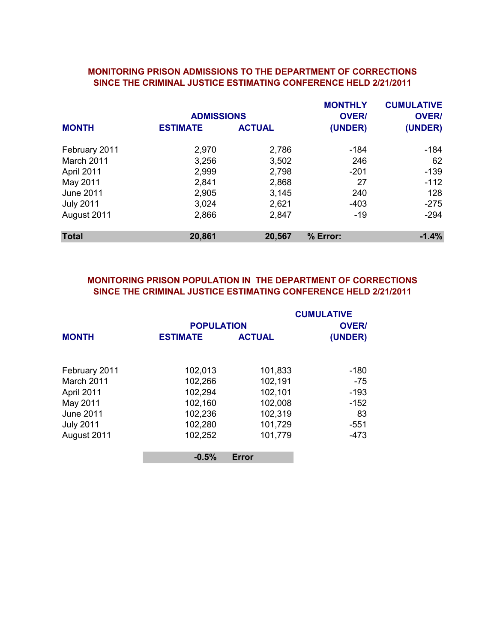#### MONITORING PRISON ADMISSIONS TO THE DEPARTMENT OF CORRECTIONS SINCE THE CRIMINAL JUSTICE ESTIMATING CONFERENCE HELD 2/21/2011

|                  |                 | <b>ADMISSIONS</b> |          | <b>CUMULATIVE</b><br><b>OVER/</b> |
|------------------|-----------------|-------------------|----------|-----------------------------------|
| <b>MONTH</b>     | <b>ESTIMATE</b> | <b>ACTUAL</b>     | (UNDER)  | (UNDER)                           |
| February 2011    | 2,970           | 2,786             | -184     | -184                              |
| March 2011       | 3,256           | 3,502             | 246      | 62                                |
| April 2011       | 2,999           | 2,798             | $-201$   | $-139$                            |
| May 2011         | 2,841           | 2,868             | 27       | $-112$                            |
| June 2011        | 2,905           | 3,145             | 240      | 128                               |
| <b>July 2011</b> | 3,024           | 2,621             | $-403$   | $-275$                            |
| August 2011      | 2,866           | 2,847             | -19      | $-294$                            |
| <b>Total</b>     | 20,861          | 20,567            | % Error: | $-1.4%$                           |

# MONITORING PRISON POPULATION IN THE DEPARTMENT OF CORRECTIONS SINCE THE CRIMINAL JUSTICE ESTIMATING CONFERENCE HELD 2/21/2011

|                  |                   |               | <b>CUMULATIVE</b> |
|------------------|-------------------|---------------|-------------------|
|                  | <b>POPULATION</b> |               | <b>OVER/</b>      |
| <b>MONTH</b>     | <b>ESTIMATE</b>   | <b>ACTUAL</b> | (UNDER)           |
|                  |                   |               |                   |
| February 2011    | 102,013           | 101,833       | -180              |
| March 2011       | 102,266           | 102,191       | $-75$             |
| April 2011       | 102,294           | 102,101       | $-193$            |
| May 2011         | 102,160           | 102,008       | $-152$            |
| <b>June 2011</b> | 102,236           | 102,319       | 83                |
| <b>July 2011</b> | 102,280           | 101,729       | -551              |
| August 2011      | 102,252           | 101,779       | -473              |
|                  | $-0.5%$           | <b>Error</b>  |                   |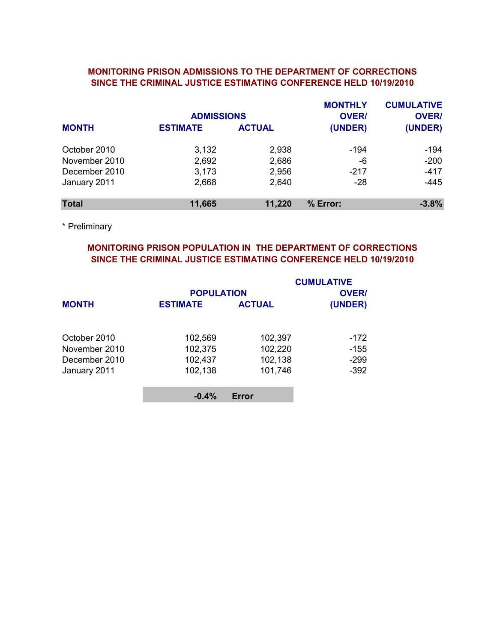### MONITORING PRISON ADMISSIONS TO THE DEPARTMENT OF CORRECTIONS SINCE THE CRIMINAL JUSTICE ESTIMATING CONFERENCE HELD 10/19/2010

|               | <b>ADMISSIONS</b> |               | <b>MONTHLY</b><br><b>OVER/</b> | <b>CUMULATIVE</b><br><b>OVER/</b> |
|---------------|-------------------|---------------|--------------------------------|-----------------------------------|
| <b>MONTH</b>  | <b>ESTIMATE</b>   | <b>ACTUAL</b> | (UNDER)                        | (UNDER)                           |
| October 2010  | 3,132             | 2,938         | -194                           | $-194$                            |
| November 2010 | 2,692             | 2,686         | -6                             | $-200$                            |
| December 2010 | 3,173             | 2,956         | $-217$                         | $-417$                            |
| January 2011  | 2,668             | 2,640         | $-28$                          | $-445$                            |
| <b>Total</b>  | 11,665            | 11,220        | % Error:                       | $-3.8%$                           |

\* Preliminary

# MONITORING PRISON POPULATION IN THE DEPARTMENT OF CORRECTIONS SINCE THE CRIMINAL JUSTICE ESTIMATING CONFERENCE HELD 10/19/2010

|                 |                               | <b>CUMULATIVE</b><br><b>OVER/</b>                |
|-----------------|-------------------------------|--------------------------------------------------|
| <b>ESTIMATE</b> | <b>ACTUAL</b>                 | (UNDER)                                          |
|                 |                               |                                                  |
|                 |                               | $-172$                                           |
|                 |                               | $-155$                                           |
| 102,437         | 102,138                       | $-299$                                           |
| 102,138         | 101,746                       | $-392$                                           |
|                 |                               |                                                  |
|                 | 102,569<br>102,375<br>$-0.4%$ | <b>POPULATION</b><br>102,397<br>102,220<br>Error |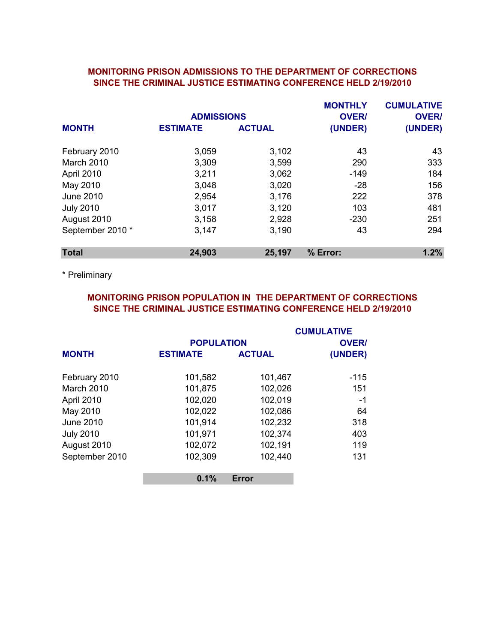### MONITORING PRISON ADMISSIONS TO THE DEPARTMENT OF CORRECTIONS SINCE THE CRIMINAL JUSTICE ESTIMATING CONFERENCE HELD 2/19/2010

|                   |                   |               | <b>MONTHLY</b> | <b>CUMULATIVE</b> |
|-------------------|-------------------|---------------|----------------|-------------------|
|                   | <b>ADMISSIONS</b> |               | <b>OVER/</b>   | <b>OVER/</b>      |
| <b>MONTH</b>      | <b>ESTIMATE</b>   | <b>ACTUAL</b> | (UNDER)        | (UNDER)           |
| February 2010     | 3,059             | 3,102         | 43             | 43                |
| <b>March 2010</b> | 3,309             | 3,599         | 290            | 333               |
| April 2010        | 3,211             | 3,062         | $-149$         | 184               |
| May 2010          | 3,048             | 3,020         | $-28$          | 156               |
| <b>June 2010</b>  | 2,954             | 3,176         | 222            | 378               |
| <b>July 2010</b>  | 3,017             | 3,120         | 103            | 481               |
| August 2010       | 3,158             | 2,928         | $-230$         | 251               |
| September 2010 *  | 3,147             | 3,190         | 43             | 294               |
| <b>Total</b>      | 24,903            | 25,197        | % Error:       | 1.2%              |

\* Preliminary

# SINCE THE CRIMINAL JUSTICE ESTIMATING CONFERENCE HELD 2/19/2010 MONITORING PRISON POPULATION IN THE DEPARTMENT OF CORRECTIONS

|                  |                 |                   | <b>CUMULATIVE</b> |  |
|------------------|-----------------|-------------------|-------------------|--|
|                  |                 | <b>POPULATION</b> |                   |  |
| <b>MONTH</b>     | <b>ESTIMATE</b> | <b>ACTUAL</b>     | (UNDER)           |  |
| February 2010    | 101,582         | 101,467           | $-115$            |  |
| March 2010       | 101,875         | 102,026           | 151               |  |
| April 2010       | 102,020         | 102,019           | $-1$              |  |
| May 2010         | 102,022         | 102,086           | 64                |  |
| <b>June 2010</b> | 101,914         | 102,232           | 318               |  |
| <b>July 2010</b> | 101,971         | 102,374           | 403               |  |
| August 2010      | 102,072         | 102,191           | 119               |  |
| September 2010   | 102,309         | 102,440           | 131               |  |
|                  | 0.1%            | <b>Error</b>      |                   |  |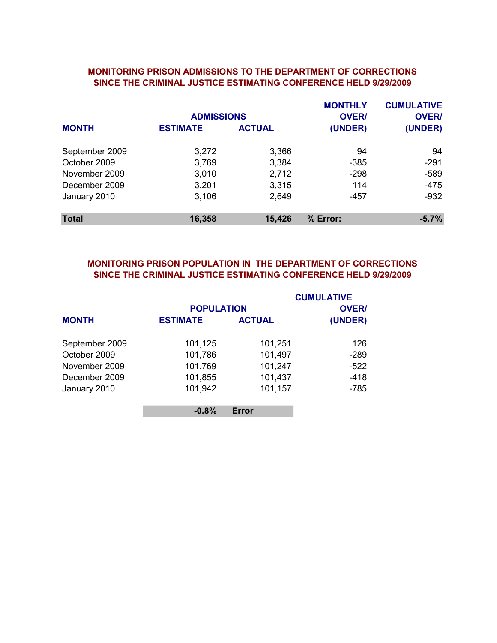#### MONITORING PRISON ADMISSIONS TO THE DEPARTMENT OF CORRECTIONS SINCE THE CRIMINAL JUSTICE ESTIMATING CONFERENCE HELD 9/29/2009

|                | <b>ADMISSIONS</b> |               | <b>MONTHLY</b><br><b>OVER/</b> | <b>CUMULATIVE</b><br><b>OVER/</b> |
|----------------|-------------------|---------------|--------------------------------|-----------------------------------|
| <b>MONTH</b>   | <b>ESTIMATE</b>   | <b>ACTUAL</b> | (UNDER)                        | (UNDER)                           |
| September 2009 | 3,272             | 3,366         | 94                             | 94                                |
| October 2009   | 3,769             | 3,384         | $-385$                         | $-291$                            |
| November 2009  | 3,010             | 2,712         | $-298$                         | $-589$                            |
| December 2009  | 3,201             | 3,315         | 114                            | $-475$                            |
| January 2010   | 3,106             | 2,649         | $-457$                         | $-932$                            |
| <b>Total</b>   | 16,358            | 15,426        | % Error:                       | $-5.7%$                           |

# SINCE THE CRIMINAL JUSTICE ESTIMATING CONFERENCE HELD 9/29/2009 MONITORING PRISON POPULATION IN THE DEPARTMENT OF CORRECTIONS

|                | <b>POPULATION</b> |               | <b>CUMULATIVE</b><br><b>OVER/</b> |
|----------------|-------------------|---------------|-----------------------------------|
| <b>MONTH</b>   | <b>ESTIMATE</b>   | <b>ACTUAL</b> | (UNDER)                           |
| September 2009 | 101,125           | 101,251       | 126                               |
| October 2009   | 101,786           | 101,497       | $-289$                            |
| November 2009  | 101,769           | 101,247       | $-522$                            |
| December 2009  | 101,855           | 101,437       | $-418$                            |
| January 2010   | 101,942           | 101,157       | $-785$                            |
|                | $-0.8%$           | Error         |                                   |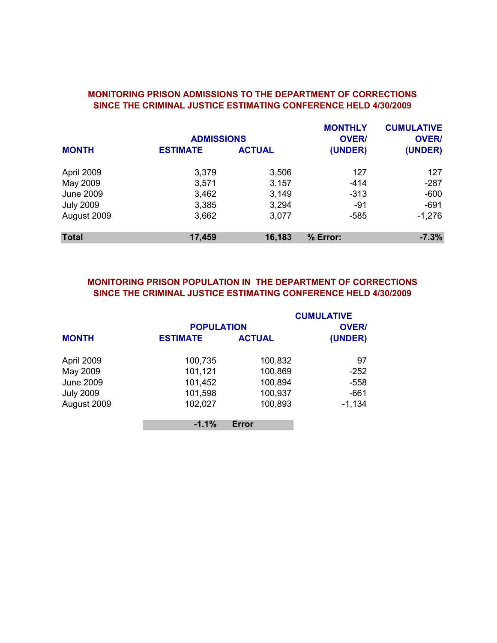|                  | <b>ADMISSIONS</b> |               | <b>MONTHLY</b><br><b>OVER/</b> | <b>CUMULATIVE</b><br><b>OVER/</b> |
|------------------|-------------------|---------------|--------------------------------|-----------------------------------|
| <b>MONTH</b>     | <b>ESTIMATE</b>   | <b>ACTUAL</b> | (UNDER)                        | (UNDER)                           |
| April 2009       | 3,379             | 3,506         | 127                            | 127                               |
| May 2009         | 3,571             | 3,157         | $-414$                         | $-287$                            |
| <b>June 2009</b> | 3,462             | 3,149         | $-313$                         | $-600$                            |
| <b>July 2009</b> | 3,385             | 3,294         | -91                            | $-691$                            |
| August 2009      | 3,662             | 3,077         | $-585$                         | $-1,276$                          |
| <b>Total</b>     | 17,459            | 16,183        | % Error:                       | $-7.3%$                           |

#### MONITORING PRISON ADMISSIONS TO THE DEPARTMENT OF CORRECTIONS SINCE THE CRIMINAL JUSTICE ESTIMATING CONFERENCE HELD 4/30/2009

# MONITORING PRISON POPULATION IN THE DEPARTMENT OF CORRECTIONS SINCE THE CRIMINAL JUSTICE ESTIMATING CONFERENCE HELD 4/30/2009

|                  |                   |               | <b>CUMULATIVE</b> |
|------------------|-------------------|---------------|-------------------|
|                  | <b>POPULATION</b> |               | <b>OVER/</b>      |
| <b>MONTH</b>     | <b>ESTIMATE</b>   | <b>ACTUAL</b> | (UNDER)           |
| April 2009       | 100,735           | 100,832       | 97                |
| May 2009         | 101,121           | 100,869       | $-252$            |
| <b>June 2009</b> | 101,452           | 100,894       | $-558$            |
| <b>July 2009</b> | 101,598           | 100,937       | $-661$            |
| August 2009      | 102,027           | 100,893       | $-1,134$          |
|                  | $-1.1%$           | <b>Error</b>  |                   |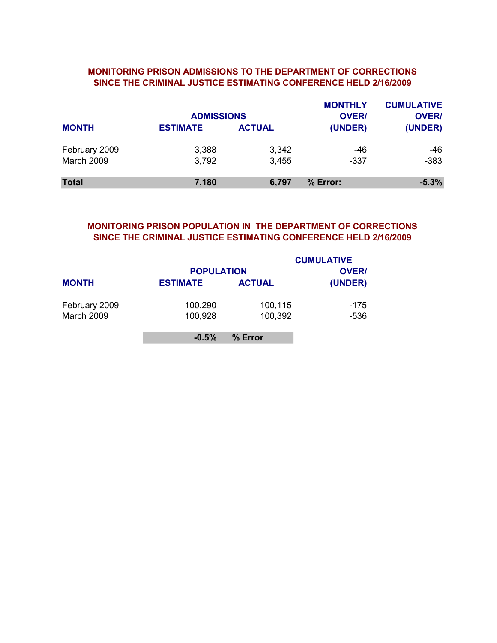### MONITORING PRISON ADMISSIONS TO THE DEPARTMENT OF CORRECTIONS SINCE THE CRIMINAL JUSTICE ESTIMATING CONFERENCE HELD 2/16/2009

|               | <b>ADMISSIONS</b> |               | <b>MONTHLY</b><br><b>OVER/</b> | <b>CUMULATIVE</b><br><b>OVER/</b> |
|---------------|-------------------|---------------|--------------------------------|-----------------------------------|
| <b>MONTH</b>  | <b>ESTIMATE</b>   | <b>ACTUAL</b> | (UNDER)                        | (UNDER)                           |
| February 2009 | 3,388             | 3,342         | -46                            | -46                               |
| March 2009    | 3,792             | 3,455         | $-337$                         | $-383$                            |
| <b>Total</b>  | 7,180             | 6,797         | % Error:                       | $-5.3%$                           |

# MONITORING PRISON POPULATION IN THE DEPARTMENT OF CORRECTIONS SINCE THE CRIMINAL JUSTICE ESTIMATING CONFERENCE HELD 2/16/2009

|               |                   |               | <b>CUMULATIVE</b> |
|---------------|-------------------|---------------|-------------------|
|               | <b>POPULATION</b> |               | <b>OVER/</b>      |
| <b>MONTH</b>  | <b>ESTIMATE</b>   | <b>ACTUAL</b> | (UNDER)           |
| February 2009 | 100,290           | 100,115       | -175              |
| March 2009    | 100,928           | 100,392       | $-536$            |
|               | $-0.5%$           | % Error       |                   |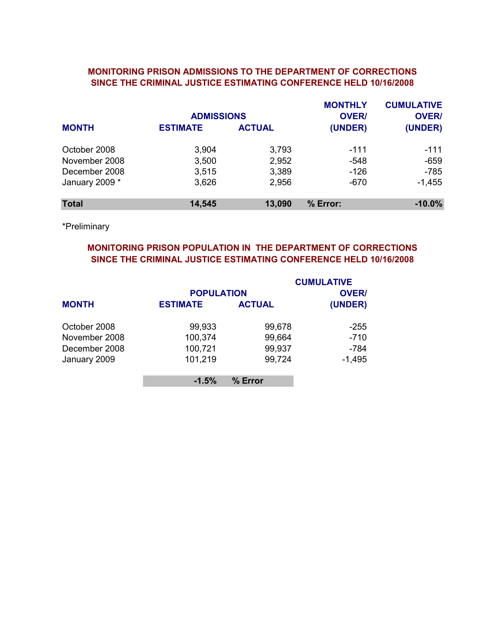### MONITORING PRISON ADMISSIONS TO THE DEPARTMENT OF CORRECTIONS SINCE THE CRIMINAL JUSTICE ESTIMATING CONFERENCE HELD 10/16/2008

|                | <b>ADMISSIONS</b> |               | <b>MONTHLY</b><br><b>OVER/</b> | <b>CUMULATIVE</b><br><b>OVER/</b> |
|----------------|-------------------|---------------|--------------------------------|-----------------------------------|
| <b>MONTH</b>   | <b>ESTIMATE</b>   | <b>ACTUAL</b> | (UNDER)                        | (UNDER)                           |
| October 2008   | 3,904             | 3,793         | $-111$                         | -111                              |
| November 2008  | 3,500             | 2,952         | $-548$                         | $-659$                            |
| December 2008  | 3,515             | 3,389         | $-126$                         | $-785$                            |
| January 2009 * | 3,626             | 2,956         | -670                           | $-1,455$                          |
| <b>Total</b>   | 14,545            | 13,090        | % Error:                       | $-10.0%$                          |

\*Preliminary

# MONITORING PRISON POPULATION IN THE DEPARTMENT OF CORRECTIONS SINCE THE CRIMINAL JUSTICE ESTIMATING CONFERENCE HELD 10/16/2008

|               |                 |                   | <b>CUMULATIVE</b> |  |
|---------------|-----------------|-------------------|-------------------|--|
|               |                 | <b>POPULATION</b> |                   |  |
| <b>MONTH</b>  | <b>ESTIMATE</b> | <b>ACTUAL</b>     | (UNDER)           |  |
| October 2008  | 99,933          | 99,678            | -255              |  |
| November 2008 | 100,374         | 99,664            | $-710$            |  |
| December 2008 | 100,721         | 99,937            | -784              |  |
| January 2009  | 101,219         | 99,724            | $-1,495$          |  |
|               | $-1.5%$         | % Error           |                   |  |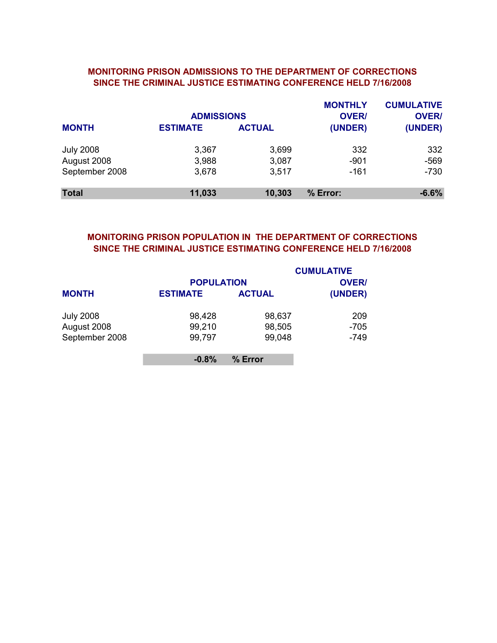### SINCE THE CRIMINAL JUSTICE ESTIMATING CONFERENCE HELD 7/16/2008 MONITORING PRISON ADMISSIONS TO THE DEPARTMENT OF CORRECTIONS

|                  | <b>ADMISSIONS</b> |               | <b>MONTHLY</b><br><b>OVER/</b> | <b>CUMULATIVE</b><br><b>OVER/</b> |
|------------------|-------------------|---------------|--------------------------------|-----------------------------------|
| <b>MONTH</b>     | <b>ESTIMATE</b>   | <b>ACTUAL</b> | (UNDER)                        | (UNDER)                           |
| <b>July 2008</b> | 3,367             | 3,699         | 332                            | 332                               |
| August 2008      | 3,988             | 3,087         | $-901$                         | $-569$                            |
| September 2008   | 3,678             | 3,517         | $-161$                         | $-730$                            |
| <b>Total</b>     | 11,033            | 10,303        | % Error:                       | $-6.6%$                           |

### MONITORING PRISON POPULATION IN THE DEPARTMENT OF CORRECTIONS SINCE THE CRIMINAL JUSTICE ESTIMATING CONFERENCE HELD 7/16/2008

|                  |                   |               | <b>CUMULATIVE</b> |
|------------------|-------------------|---------------|-------------------|
|                  | <b>POPULATION</b> |               | <b>OVER/</b>      |
| <b>MONTH</b>     | <b>ESTIMATE</b>   | <b>ACTUAL</b> | (UNDER)           |
| <b>July 2008</b> | 98,428            | 98,637        | 209               |
| August 2008      | 99,210            | 98,505        | $-705$            |
| September 2008   | 99,797            | 99,048        | -749              |
|                  | $-0.8%$           | % Error       |                   |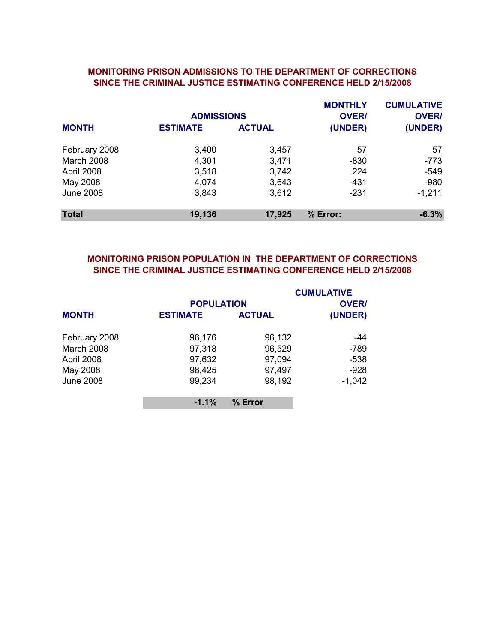#### MONITORING PRISON ADMISSIONS TO THE DEPARTMENT OF CORRECTIONS SINCE THE CRIMINAL JUSTICE ESTIMATING CONFERENCE HELD 2/15/2008

|                   | <b>ADMISSIONS</b> |               | <b>MONTHLY</b><br><b>OVER/</b> | <b>CUMULATIVE</b><br><b>OVER/</b> |
|-------------------|-------------------|---------------|--------------------------------|-----------------------------------|
| <b>MONTH</b>      | <b>ESTIMATE</b>   | <b>ACTUAL</b> | (UNDER)                        | (UNDER)                           |
| February 2008     | 3,400             | 3,457         | 57                             | 57                                |
| <b>March 2008</b> | 4,301             | 3,471         | $-830$                         | $-773$                            |
| April 2008        | 3,518             | 3,742         | 224                            | $-549$                            |
| May 2008          | 4,074             | 3,643         | $-431$                         | $-980$                            |
| <b>June 2008</b>  | 3,843             | 3,612         | $-231$                         | $-1,211$                          |
| <b>Total</b>      | 19,136            | 17,925        | % Error:                       | $-6.3%$                           |

# SINCE THE CRIMINAL JUSTICE ESTIMATING CONFERENCE HELD 2/15/2008 MONITORING PRISON POPULATION IN THE DEPARTMENT OF CORRECTIONS

|                   | <b>POPULATION</b> |               | <b>CUMULATIVE</b><br><b>OVER/</b> |
|-------------------|-------------------|---------------|-----------------------------------|
| <b>MONTH</b>      | <b>ESTIMATE</b>   | <b>ACTUAL</b> | (UNDER)                           |
| February 2008     | 96,176            | 96,132        | -44                               |
| <b>March 2008</b> | 97,318            | 96,529        | $-789$                            |
| April 2008        | 97,632            | 97,094        | $-538$                            |
| May 2008          | 98,425            | 97,497        | $-928$                            |
| <b>June 2008</b>  | 99,234            | 98,192        | $-1,042$                          |
|                   | $-1.1%$           | % Error       |                                   |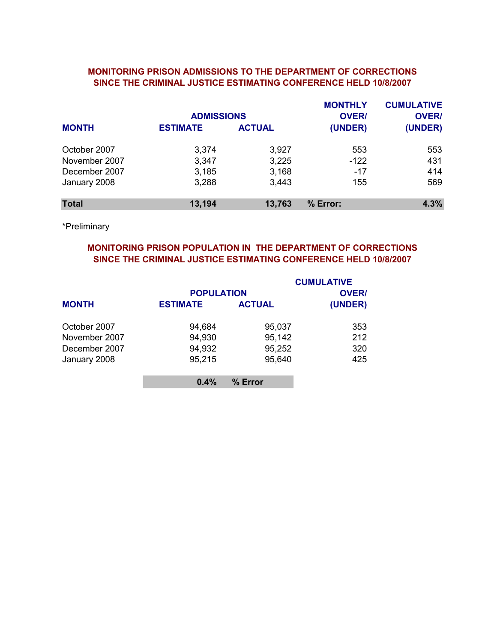### SINCE THE CRIMINAL JUSTICE ESTIMATING CONFERENCE HELD 10/8/2007 MONITORING PRISON ADMISSIONS TO THE DEPARTMENT OF CORRECTIONS

|               | <b>ADMISSIONS</b> |               | <b>MONTHLY</b><br><b>OVER/</b> | <b>CUMULATIVE</b><br><b>OVER/</b> |
|---------------|-------------------|---------------|--------------------------------|-----------------------------------|
| <b>MONTH</b>  | <b>ESTIMATE</b>   | <b>ACTUAL</b> | (UNDER)                        | (UNDER)                           |
| October 2007  | 3,374             | 3,927         | 553                            | 553                               |
| November 2007 | 3,347             | 3,225         | $-122$                         | 431                               |
| December 2007 | 3,185             | 3,168         | $-17$                          | 414                               |
| January 2008  | 3,288             | 3,443         | 155                            | 569                               |
| <b>Total</b>  | 13,194            | 13,763        | % Error:                       | 4.3%                              |

\*Preliminary

# MONITORING PRISON POPULATION IN THE DEPARTMENT OF CORRECTIONS SINCE THE CRIMINAL JUSTICE ESTIMATING CONFERENCE HELD 10/8/2007

|               |                   |               | <b>CUMULATIVE</b> |
|---------------|-------------------|---------------|-------------------|
|               | <b>POPULATION</b> |               | <b>OVER/</b>      |
| <b>MONTH</b>  | <b>ESTIMATE</b>   | <b>ACTUAL</b> | (UNDER)           |
| October 2007  | 94,684            | 95,037        | 353               |
| November 2007 | 94,930            | 95,142        | 212               |
| December 2007 | 94,932            | 95,252        | 320               |
| January 2008  | 95,215            | 95,640        | 425               |
|               | 0.4%              | % Error       |                   |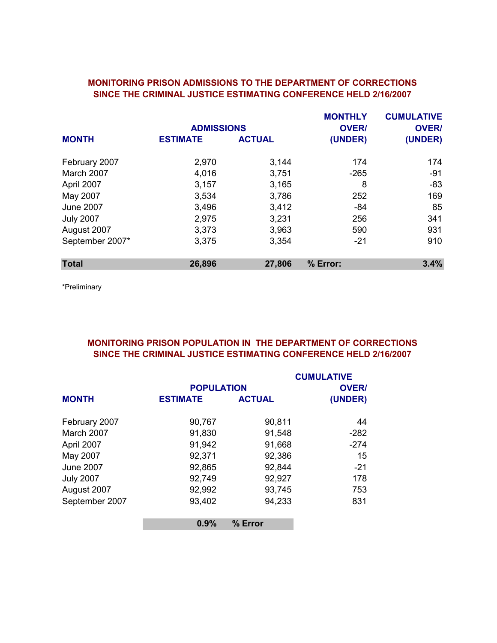## MONITORING PRISON ADMISSIONS TO THE DEPARTMENT OF CORRECTIONS SINCE THE CRIMINAL JUSTICE ESTIMATING CONFERENCE HELD 2/16/2007

|                  |                   |               | <b>MONTHLY</b> | <b>CUMULATIVE</b> |
|------------------|-------------------|---------------|----------------|-------------------|
|                  | <b>ADMISSIONS</b> |               | <b>OVER/</b>   | <b>OVER/</b>      |
| <b>MONTH</b>     | <b>ESTIMATE</b>   | <b>ACTUAL</b> | (UNDER)        | (UNDER)           |
| February 2007    | 2,970             | 3,144         | 174            | 174               |
| March 2007       | 4,016             | 3,751         | $-265$         | $-91$             |
| April 2007       | 3,157             | 3,165         | 8              | $-83$             |
| May 2007         | 3,534             | 3,786         | 252            | 169               |
| <b>June 2007</b> | 3,496             | 3,412         | $-84$          | 85                |
| <b>July 2007</b> | 2,975             | 3,231         | 256            | 341               |
| August 2007      | 3,373             | 3,963         | 590            | 931               |
| September 2007*  | 3,375             | 3,354         | $-21$          | 910               |
| <b>Total</b>     | 26,896            | 27,806        | % Error:       | 3.4%              |

\*Preliminary

# MONITORING PRISON POPULATION IN THE DEPARTMENT OF CORRECTIONS SINCE THE CRIMINAL JUSTICE ESTIMATING CONFERENCE HELD 2/16/2007

|                  |                   |               | <b>CUMULATIVE</b> |
|------------------|-------------------|---------------|-------------------|
|                  | <b>POPULATION</b> |               | <b>OVER/</b>      |
| <b>MONTH</b>     | <b>ESTIMATE</b>   | <b>ACTUAL</b> | (UNDER)           |
| February 2007    | 90,767            | 90,811        | 44                |
| March 2007       | 91,830            | 91,548        | $-282$            |
| April 2007       | 91,942            | 91,668        | $-274$            |
| May 2007         | 92,371            | 92,386        | 15                |
| <b>June 2007</b> | 92,865            | 92,844        | $-21$             |
| <b>July 2007</b> | 92,749            | 92,927        | 178               |
| August 2007      | 92,992            | 93,745        | 753               |
| September 2007   | 93,402            | 94,233        | 831               |
|                  | 0.9%              | % Error       |                   |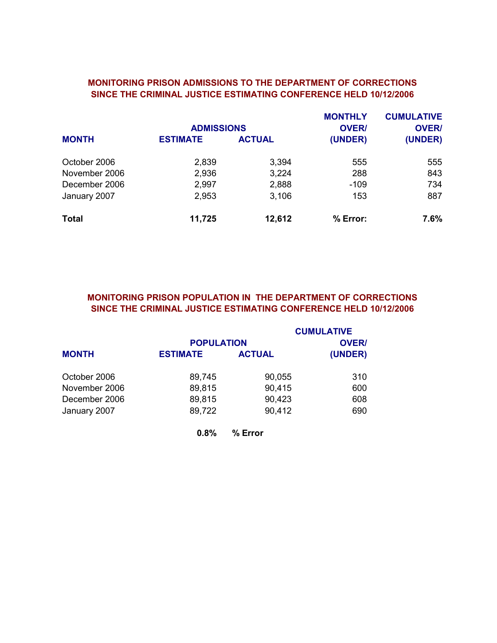### MONITORING PRISON ADMISSIONS TO THE DEPARTMENT OF CORRECTIONS SINCE THE CRIMINAL JUSTICE ESTIMATING CONFERENCE HELD 10/12/2006

|               | <b>ADMISSIONS</b> |               | <b>MONTHLY</b><br><b>OVER/</b> | <b>CUMULATIVE</b><br><b>OVER/</b> |
|---------------|-------------------|---------------|--------------------------------|-----------------------------------|
| <b>MONTH</b>  | <b>ESTIMATE</b>   | <b>ACTUAL</b> | (UNDER)                        | (UNDER)                           |
| October 2006  | 2,839             | 3,394         | 555                            | 555                               |
| November 2006 | 2,936             | 3,224         | 288                            | 843                               |
| December 2006 | 2,997             | 2,888         | $-109$                         | 734                               |
| January 2007  | 2,953             | 3,106         | 153                            | 887                               |
| <b>Total</b>  | 11,725            | 12,612        | % Error:                       | $7.6\%$                           |

# MONITORING PRISON POPULATION IN THE DEPARTMENT OF CORRECTIONS SINCE THE CRIMINAL JUSTICE ESTIMATING CONFERENCE HELD 10/12/2006

|               |                   |               | <b>CUMULATIVE</b> |
|---------------|-------------------|---------------|-------------------|
|               | <b>POPULATION</b> |               | <b>OVER/</b>      |
| <b>MONTH</b>  | <b>ESTIMATE</b>   | <b>ACTUAL</b> | (UNDER)           |
| October 2006  | 89,745            | 90,055        | 310               |
| November 2006 | 89,815            | 90,415        | 600               |
| December 2006 | 89,815            | 90,423        | 608               |
| January 2007  | 89,722            | 90,412        | 690               |
|               | 0.8%              | % Error       |                   |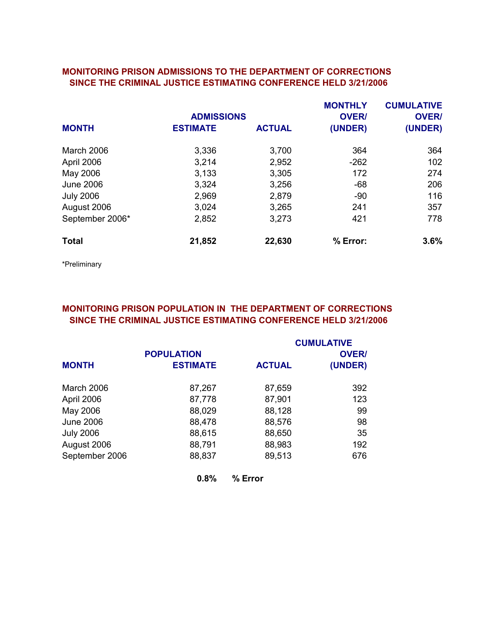#### MONITORING PRISON ADMISSIONS TO THE DEPARTMENT OF CORRECTIONS SINCE THE CRIMINAL JUSTICE ESTIMATING CONFERENCE HELD 3/21/2006

|                  |                   |               | <b>MONTHLY</b> | <b>CUMULATIVE</b> |
|------------------|-------------------|---------------|----------------|-------------------|
|                  | <b>ADMISSIONS</b> |               | <b>OVER/</b>   | <b>OVER/</b>      |
| <b>MONTH</b>     | <b>ESTIMATE</b>   | <b>ACTUAL</b> | (UNDER)        | (UNDER)           |
| March 2006       | 3,336             | 3,700         | 364            | 364               |
| April 2006       | 3,214             | 2,952         | $-262$         | 102               |
| May 2006         | 3,133             | 3,305         | 172            | 274               |
| <b>June 2006</b> | 3,324             | 3,256         | $-68$          | 206               |
| <b>July 2006</b> | 2,969             | 2,879         | $-90$          | 116               |
| August 2006      | 3,024             | 3,265         | 241            | 357               |
| September 2006*  | 2,852             | 3,273         | 421            | 778               |
| <b>Total</b>     | 21,852            | 22,630        | % Error:       | 3.6%              |
|                  |                   |               |                |                   |

\*Preliminary

# MONITORING PRISON POPULATION IN THE DEPARTMENT OF CORRECTIONS SINCE THE CRIMINAL JUSTICE ESTIMATING CONFERENCE HELD 3/21/2006

|                  |                   |               | <b>CUMULATIVE</b> |
|------------------|-------------------|---------------|-------------------|
|                  | <b>POPULATION</b> |               | <b>OVER/</b>      |
| <b>MONTH</b>     | <b>ESTIMATE</b>   | <b>ACTUAL</b> | (UNDER)           |
| March 2006       | 87,267            | 87,659        | 392               |
| April 2006       | 87,778            | 87,901        | 123               |
| May 2006         | 88,029            | 88,128        | 99                |
| <b>June 2006</b> | 88,478            | 88,576        | 98                |
| <b>July 2006</b> | 88,615            | 88,650        | 35                |
| August 2006      | 88,791            | 88,983        | 192               |
| September 2006   | 88,837            | 89,513        | 676               |
|                  | 0.8%              | % Error       |                   |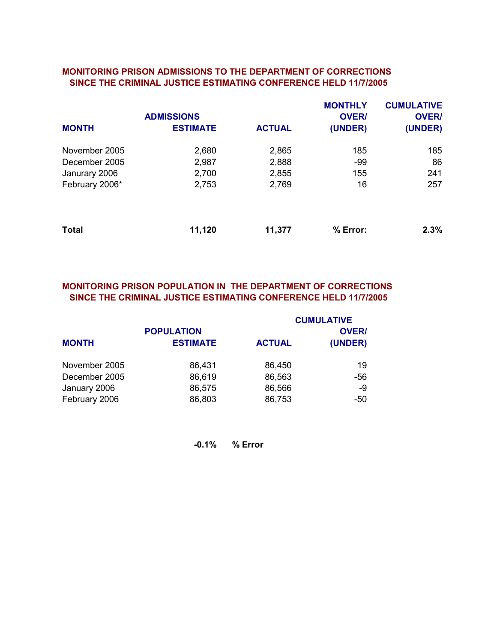#### MONITORING PRISON ADMISSIONS TO THE DEPARTMENT OF CORRECTIONS SINCE THE CRIMINAL JUSTICE ESTIMATING CONFERENCE HELD 11/7/2005

|                | <b>ADMISSIONS</b> |               | <b>MONTHLY</b><br><b>OVER/</b> | <b>CUMULATIVE</b><br><b>OVER/</b> |
|----------------|-------------------|---------------|--------------------------------|-----------------------------------|
| <b>MONTH</b>   | <b>ESTIMATE</b>   | <b>ACTUAL</b> | (UNDER)                        | (UNDER)                           |
| November 2005  | 2,680             | 2,865         | 185                            | 185                               |
| December 2005  | 2,987             | 2,888         | -99                            | 86                                |
| Janurary 2006  | 2,700             | 2,855         | 155                            | 241                               |
| February 2006* | 2,753             | 2,769         | 16                             | 257                               |
| <b>Total</b>   | 11,120            | 11,377        | % Error:                       | 2.3%                              |

# MONITORING PRISON POPULATION IN THE DEPARTMENT OF CORRECTIONS SINCE THE CRIMINAL JUSTICE ESTIMATING CONFERENCE HELD 11/7/2005

|               |                                      |               | <b>CUMULATIVE</b>       |
|---------------|--------------------------------------|---------------|-------------------------|
| <b>MONTH</b>  | <b>POPULATION</b><br><b>ESTIMATE</b> | <b>ACTUAL</b> | <b>OVER/</b><br>(UNDER) |
|               |                                      |               |                         |
| November 2005 | 86,431                               | 86,450        | 19                      |
| December 2005 | 86,619                               | 86,563        | -56                     |
| January 2006  | 86,575                               | 86,566        | -9                      |
| February 2006 | 86,803                               | 86,753        | -50                     |

-0.1% % Error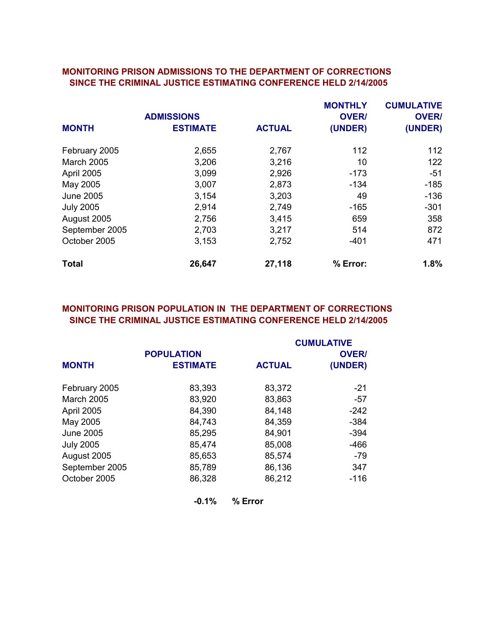#### MONITORING PRISON ADMISSIONS TO THE DEPARTMENT OF CORRECTIONS SINCE THE CRIMINAL JUSTICE ESTIMATING CONFERENCE HELD 2/14/2005

|                   |                   |               | <b>MONTHLY</b> | <b>CUMULATIVE</b> |
|-------------------|-------------------|---------------|----------------|-------------------|
|                   | <b>ADMISSIONS</b> |               | <b>OVER/</b>   | <b>OVER/</b>      |
| <b>MONTH</b>      | <b>ESTIMATE</b>   | <b>ACTUAL</b> | (UNDER)        | (UNDER)           |
| February 2005     | 2,655             | 2,767         | 112            | 112               |
| <b>March 2005</b> | 3,206             | 3,216         | 10             | 122               |
| April 2005        | 3,099             | 2,926         | $-173$         | $-51$             |
| May 2005          | 3,007             | 2,873         | $-134$         | $-185$            |
| <b>June 2005</b>  | 3,154             | 3,203         | 49             | $-136$            |
| <b>July 2005</b>  | 2,914             | 2,749         | $-165$         | $-301$            |
| August 2005       | 2,756             | 3,415         | 659            | 358               |
| September 2005    | 2,703             | 3,217         | 514            | 872               |
| October 2005      | 3,153             | 2,752         | $-401$         | 471               |
| <b>Total</b>      | 26,647            | 27,118        | % Error:       | 1.8%              |

# MONITORING PRISON POPULATION IN THE DEPARTMENT OF CORRECTIONS SINCE THE CRIMINAL JUSTICE ESTIMATING CONFERENCE HELD 2/14/2005

|                   |                   |               | <b>CUMULATIVE</b> |
|-------------------|-------------------|---------------|-------------------|
|                   | <b>POPULATION</b> |               | <b>OVER/</b>      |
| <b>MONTH</b>      | <b>ESTIMATE</b>   | <b>ACTUAL</b> | (UNDER)           |
| February 2005     | 83,393            | 83,372        | $-21$             |
| <b>March 2005</b> | 83,920            | 83,863        | -57               |
| April 2005        | 84,390            | 84,148        | $-242$            |
| May 2005          | 84,743            | 84,359        | $-384$            |
| <b>June 2005</b>  | 85,295            | 84,901        | $-394$            |
| <b>July 2005</b>  | 85,474            | 85,008        | $-466$            |
| August 2005       | 85,653            | 85,574        | $-79$             |
| September 2005    | 85,789            | 86,136        | 347               |
| October 2005      | 86,328            | 86,212        | $-116$            |
|                   | $-0.1%$           | % Error       |                   |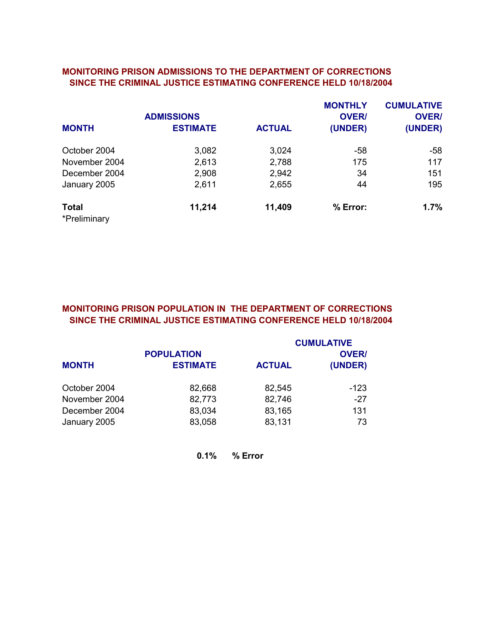#### MONITORING PRISON ADMISSIONS TO THE DEPARTMENT OF CORRECTIONS SINCE THE CRIMINAL JUSTICE ESTIMATING CONFERENCE HELD 10/18/2004

|                              | <b>ADMISSIONS</b> |               | <b>MONTHLY</b><br><b>OVER/</b> |         |  |  |
|------------------------------|-------------------|---------------|--------------------------------|---------|--|--|
| <b>MONTH</b>                 | <b>ESTIMATE</b>   | <b>ACTUAL</b> | (UNDER)                        | (UNDER) |  |  |
| October 2004                 | 3,082             | 3,024         | -58                            | -58     |  |  |
| November 2004                | 2,613             | 2,788         | 175                            | 117     |  |  |
| December 2004                | 2,908             | 2,942         | 34                             | 151     |  |  |
| January 2005                 | 2,611             | 2,655         | 44                             | 195     |  |  |
| <b>Total</b><br>*Preliminary | 11,214            | 11,409        | % Error:                       | 1.7%    |  |  |

# MONITORING PRISON POPULATION IN THE DEPARTMENT OF CORRECTIONS SINCE THE CRIMINAL JUSTICE ESTIMATING CONFERENCE HELD 10/18/2004

|               |                   |               | <b>CUMULATIVE</b> |
|---------------|-------------------|---------------|-------------------|
|               | <b>POPULATION</b> |               | <b>OVER/</b>      |
| <b>MONTH</b>  | <b>ESTIMATE</b>   | <b>ACTUAL</b> | (UNDER)           |
| October 2004  | 82,668            | 82,545        | -123              |
| November 2004 | 82,773            | 82,746        | $-27$             |
| December 2004 | 83,034            | 83,165        | 131               |
| January 2005  | 83,058            | 83,131        | 73                |

0.1% % Error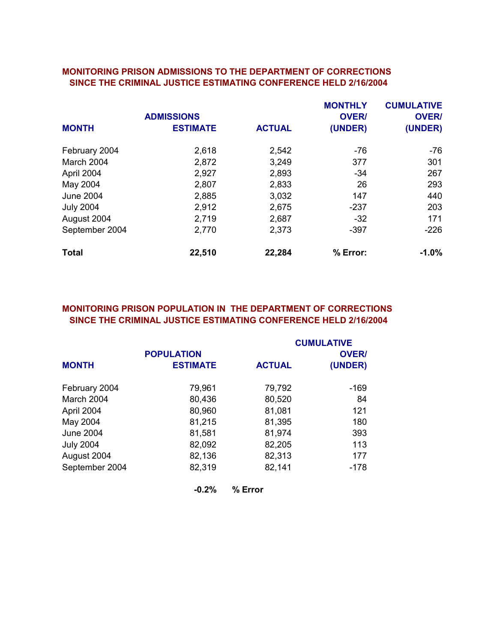#### MONITORING PRISON ADMISSIONS TO THE DEPARTMENT OF CORRECTIONS SINCE THE CRIMINAL JUSTICE ESTIMATING CONFERENCE HELD 2/16/2004

|                  | <b>ADMISSIONS</b> |               | <b>MONTHLY</b>          | <b>CUMULATIVE</b><br><b>OVER/</b> |
|------------------|-------------------|---------------|-------------------------|-----------------------------------|
| <b>MONTH</b>     | <b>ESTIMATE</b>   | <b>ACTUAL</b> | <b>OVER/</b><br>(UNDER) | (UNDER)                           |
| February 2004    | 2,618             | 2,542         | -76                     | $-76$                             |
| March 2004       | 2,872             | 3,249         | 377                     | 301                               |
| April 2004       | 2,927             | 2,893         | $-34$                   | 267                               |
| May 2004         | 2,807             | 2,833         | 26                      | 293                               |
| <b>June 2004</b> | 2,885             | 3,032         | 147                     | 440                               |
| <b>July 2004</b> | 2,912             | 2,675         | -237                    | 203                               |
| August 2004      | 2,719             | 2,687         | $-32$                   | 171                               |
| September 2004   | 2,770             | 2,373         | $-397$                  | $-226$                            |
| <b>Total</b>     | 22,510            | 22,284        | % Error:                | $-1.0\%$                          |

# MONITORING PRISON POPULATION IN THE DEPARTMENT OF CORRECTIONS SINCE THE CRIMINAL JUSTICE ESTIMATING CONFERENCE HELD 2/16/2004

|                  |                   |               | <b>CUMULATIVE</b> |
|------------------|-------------------|---------------|-------------------|
|                  | <b>POPULATION</b> |               | <b>OVER/</b>      |
| <b>MONTH</b>     | <b>ESTIMATE</b>   | <b>ACTUAL</b> | (UNDER)           |
| February 2004    | 79,961            | 79,792        | -169              |
| March 2004       | 80,436            | 80,520        | 84                |
| April 2004       | 80,960            | 81,081        | 121               |
| May 2004         | 81,215            | 81,395        | 180               |
| <b>June 2004</b> | 81,581            | 81,974        | 393               |
| <b>July 2004</b> | 82,092            | 82,205        | 113               |
| August 2004      | 82,136            | 82,313        | 177               |
| September 2004   | 82,319            | 82,141        | $-178$            |
|                  | $-0.2%$           | % Error       |                   |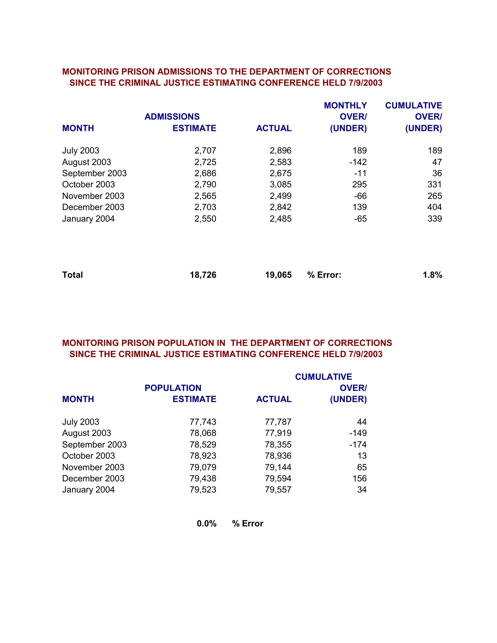#### MONITORING PRISON ADMISSIONS TO THE DEPARTMENT OF CORRECTIONS SINCE THE CRIMINAL JUSTICE ESTIMATING CONFERENCE HELD 7/9/2003

|                  |                   |               | <b>MONTHLY</b> | <b>CUMULATIVE</b> |
|------------------|-------------------|---------------|----------------|-------------------|
|                  | <b>ADMISSIONS</b> |               | <b>OVER/</b>   | <b>OVER/</b>      |
| <b>MONTH</b>     | <b>ESTIMATE</b>   | <b>ACTUAL</b> | (UNDER)        | (UNDER)           |
| <b>July 2003</b> | 2,707             | 2,896         | 189            | 189               |
| August 2003      | 2,725             | 2,583         | $-142$         | 47                |
| September 2003   | 2,686             | 2,675         | $-11$          | 36                |
| October 2003     | 2,790             | 3,085         | 295            | 331               |
| November 2003    | 2,565             | 2,499         | $-66$          | 265               |
| December 2003    | 2,703             | 2,842         | 139            | 404               |
| January 2004     | 2,550             | 2,485         | $-65$          | 339               |
|                  |                   |               |                |                   |
| <b>Total</b>     | 18,726            | 19,065        | % Error:       | 1.8%              |

# MONITORING PRISON POPULATION IN THE DEPARTMENT OF CORRECTIONS SINCE THE CRIMINAL JUSTICE ESTIMATING CONFERENCE HELD 7/9/2003

|                  |                   |               | <b>CUMULATIVE</b> |
|------------------|-------------------|---------------|-------------------|
|                  | <b>POPULATION</b> |               | <b>OVER/</b>      |
| <b>MONTH</b>     | <b>ESTIMATE</b>   | <b>ACTUAL</b> | (UNDER)           |
| <b>July 2003</b> | 77,743            | 77,787        | 44                |
| August 2003      | 78,068            | 77,919        | $-149$            |
| September 2003   | 78,529            | 78,355        | $-174$            |
| October 2003     | 78,923            | 78,936        | 13                |
| November 2003    | 79,079            | 79,144        | 65                |
| December 2003    | 79,438            | 79,594        | 156               |
| January 2004     | 79,523            | 79,557        | 34                |

0.0% % Error